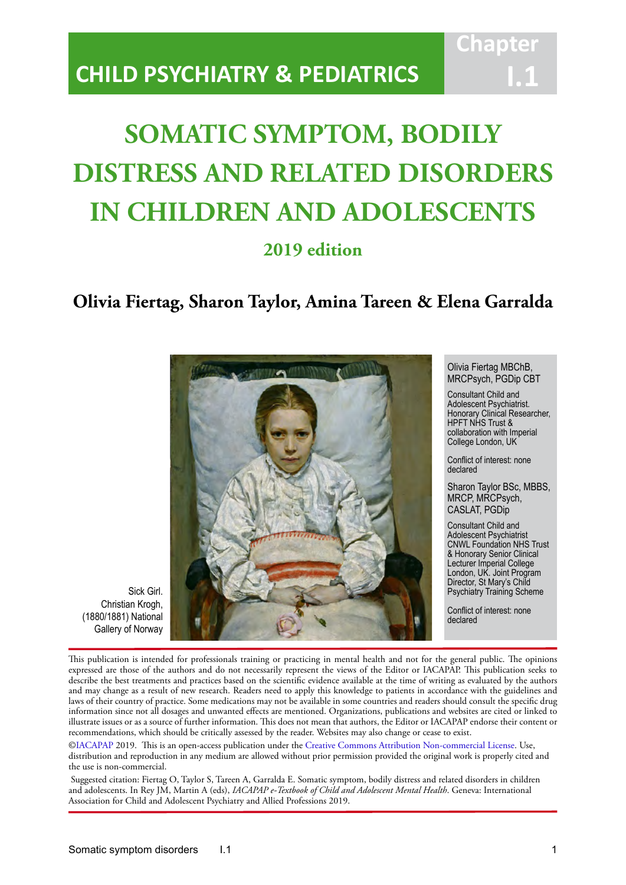# **CHILD PSYCHIATRY & PEDIATRICS**

# **SOMATIC SYMPTOM, BODILY DISTRESS AND RELATED DISORDERS IN CHILDREN AND ADOLESCENTS**

IACAPAP Textbook of Child and Adolescent Mental Health

# **2019 edition**

# **Olivia Fiertag, Sharon Taylor, Amina Tareen & Elena Garralda**



Olivia Fiertag MBChB, MRCPsych, PGDip CBT

**Chapt** 

**I.1**

Consultant Child and Adolescent Psychiatrist. Honorary Clinical Researcher, HPFT NHS Trust & collaboration with Imperial College London, UK

Conflict of interest: none declared

Sharon Taylor BSc, MBBS, MRCP, MRCPsych, CASLAT, PGDip

Consultant Child and Adolescent Psychiatrist CNWL Foundation NHS Trust & Honorary Senior Clinical Lecturer Imperial College London, UK. Joint Program Director, St Mary's Child Psychiatry Training Scheme

Conflict of interest: none declared

Sick Girl. Christian Krogh, (1880/1881) National Gallery of Norway

This publication is intended for professionals training or practicing in mental health and not for the general public. The opinions expressed are those of the authors and do not necessarily represent the views of the Editor or IACAPAP. This publication seeks to describe the best treatments and practices based on the scientific evidence available at the time of writing as evaluated by the authors and may change as a result of new research. Readers need to apply this knowledge to patients in accordance with the guidelines and laws of their country of practice. Some medications may not be available in some countries and readers should consult the specific drug information since not all dosages and unwanted effects are mentioned. Organizations, publications and websites are cited or linked to illustrate issues or as a source of further information. This does not mean that authors, the Editor or IACAPAP endorse their content or recommendations, which should be critically assessed by the reader. Websites may also change or cease to exist.

[©IACAPAP](http://iacapap.org/) 2019. This is an open-access publication under the [Creative Commons Attribution Non-commercial License](http://creativecommons.org/licenses/by-nc/2.0/). Use, distribution and reproduction in any medium are allowed without prior permission provided the original work is properly cited and the use is non-commercial.

 Suggested citation: Fiertag O, Taylor S, Tareen A, Garralda E. Somatic symptom, bodily distress and related disorders in children and adolescents. In Rey JM, Martin A (eds), *IACAPAP e-Textbook of Child and Adolescent Mental Health*. Geneva: International Association for Child and Adolescent Psychiatry and Allied Professions 2019.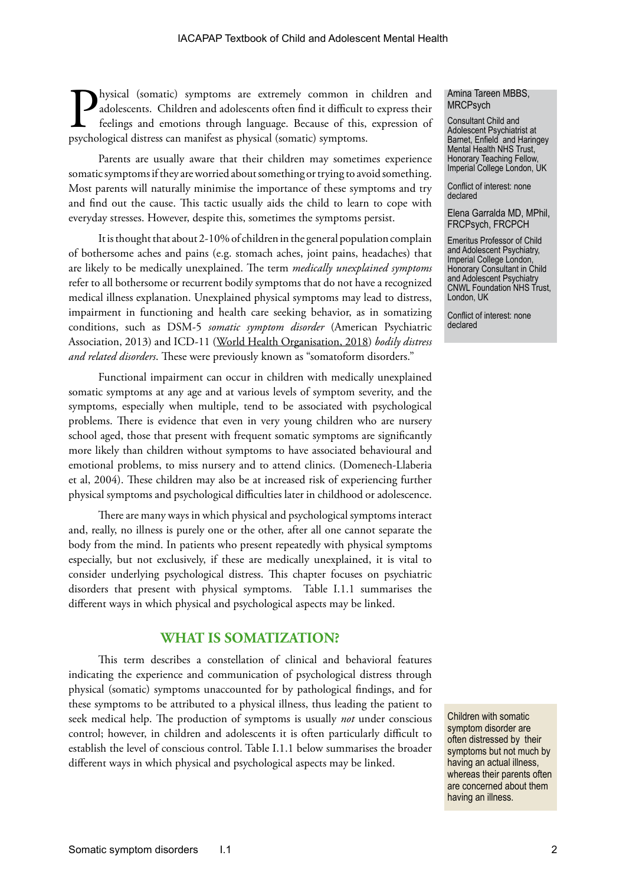**Physical (somatic) symptoms are extremely common in children and adolescents.** Children and adolescents often find it difficult to express their feelings and emotions through language. Because of this, expression of psych adolescents. Children and adolescents often find it difficult to express their feelings and emotions through language. Because of this, expression of psychological distress can manifest as physical (somatic) symptoms.

Parents are usually aware that their children may sometimes experience somatic symptoms if they are worried about something or trying to avoid something. Most parents will naturally minimise the importance of these symptoms and try and find out the cause. This tactic usually aids the child to learn to cope with everyday stresses. However, despite this, sometimes the symptoms persist.

It is thought that about 2-10% of children in the general population complain of bothersome aches and pains (e.g. stomach aches, joint pains, headaches) that are likely to be medically unexplained. The term *medically unexplained symptoms* refer to all bothersome or recurrent bodily symptoms that do not have a recognized medical illness explanation. Unexplained physical symptoms may lead to distress, impairment in functioning and health care seeking behavior, as in somatizing conditions, such as DSM-5 *somatic symptom disorder* (American Psychiatric Association, 2013) and ICD-11 ([World Health Organisation, 2018](https://icd.who.int/browse11/l-m/en)) *bodily distress and related disorders*. These were previously known as "somatoform disorders."

Functional impairment can occur in children with medically unexplained somatic symptoms at any age and at various levels of symptom severity, and the symptoms, especially when multiple, tend to be associated with psychological problems. There is evidence that even in very young children who are nursery school aged, those that present with frequent somatic symptoms are significantly more likely than children without symptoms to have associated behavioural and emotional problems, to miss nursery and to attend clinics. (Domenech-Llaberia et al, 2004). These children may also be at increased risk of experiencing further physical symptoms and psychological difficulties later in childhood or adolescence.

There are many ways in which physical and psychological symptoms interact and, really, no illness is purely one or the other, after all one cannot separate the body from the mind. In patients who present repeatedly with physical symptoms especially, but not exclusively, if these are medically unexplained, it is vital to consider underlying psychological distress. This chapter focuses on psychiatric disorders that present with physical symptoms. Table I.1.1 summarises the different ways in which physical and psychological aspects may be linked.

# **WHAT IS SOMATIZATION?**

This term describes a constellation of clinical and behavioral features indicating the experience and communication of psychological distress through physical (somatic) symptoms unaccounted for by pathological findings, and for these symptoms to be attributed to a physical illness, thus leading the patient to seek medical help. The production of symptoms is usually *not* under conscious control; however, in children and adolescents it is often particularly difficult to establish the level of conscious control. Table I.1.1 below summarises the broader different ways in which physical and psychological aspects may be linked.

#### Amina Tareen MBBS, MRCPsych

Consultant Child and Adolescent Psychiatrist at Barnet, Enfield and Haringey Mental Health NHS Trust, Honorary Teaching Fellow, Imperial College London, UK

Conflict of interest: none declared

Elena Garralda MD, MPhil, FRCPsych, FRCPCH

Emeritus Professor of Child and Adolescent Psychiatry, Imperial College London, Honorary Consultant in Child and Adolescent Psychiatry CNWL Foundation NHS Trust, London, UK

Conflict of interest: none declared

Children with somatic symptom disorder are often distressed by their symptoms but not much by having an actual illness, whereas their parents often are concerned about them having an illness.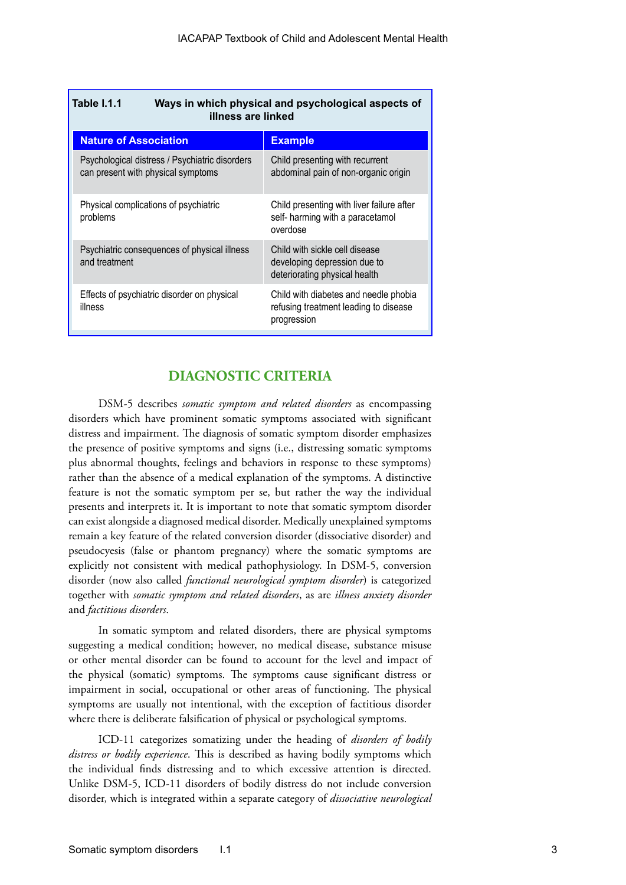| <b>Table 1.1.1</b><br>Ways in which physical and psychological aspects of<br>illness are linked |                                                                                                 |  |
|-------------------------------------------------------------------------------------------------|-------------------------------------------------------------------------------------------------|--|
| <b>Nature of Association</b>                                                                    | <b>Example</b>                                                                                  |  |
| Psychological distress / Psychiatric disorders<br>can present with physical symptoms            | Child presenting with recurrent<br>abdominal pain of non-organic origin                         |  |
| Physical complications of psychiatric<br>problems                                               | Child presenting with liver failure after<br>self- harming with a paracetamol<br>overdose       |  |
| Psychiatric consequences of physical illness<br>and treatment                                   | Child with sickle cell disease<br>developing depression due to<br>deteriorating physical health |  |
| Effects of psychiatric disorder on physical<br>illness                                          | Child with diabetes and needle phobia<br>refusing treatment leading to disease<br>progression   |  |

# **DIAGNOSTIC CRITERIA**

DSM-5 describes *somatic symptom and related disorders* as encompassing disorders which have prominent somatic symptoms associated with significant distress and impairment. The diagnosis of somatic symptom disorder emphasizes the presence of positive symptoms and signs (i.e., distressing somatic symptoms plus abnormal thoughts, feelings and behaviors in response to these symptoms) rather than the absence of a medical explanation of the symptoms. A distinctive feature is not the somatic symptom per se, but rather the way the individual presents and interprets it. It is important to note that somatic symptom disorder can exist alongside a diagnosed medical disorder. Medically unexplained symptoms remain a key feature of the related conversion disorder (dissociative disorder) and pseudocyesis (false or phantom pregnancy) where the somatic symptoms are explicitly not consistent with medical pathophysiology. In DSM-5, conversion disorder (now also called *functional neurological symptom disorder*) is categorized together with *somatic symptom and related disorders*, as are *illness anxiety disorder* and *factitious disorders*.

In somatic symptom and related disorders, there are physical symptoms suggesting a medical condition; however, no medical disease, substance misuse or other mental disorder can be found to account for the level and impact of the physical (somatic) symptoms. The symptoms cause significant distress or impairment in social, occupational or other areas of functioning. The physical symptoms are usually not intentional, with the exception of factitious disorder where there is deliberate falsification of physical or psychological symptoms.

ICD-11 categorizes somatizing under the heading of *disorders of bodily distress or bodily experience*. This is described as having bodily symptoms which the individual finds distressing and to which excessive attention is directed. Unlike DSM-5, ICD-11 disorders of bodily distress do not include conversion disorder, which is integrated within a separate category of *dissociative neurological*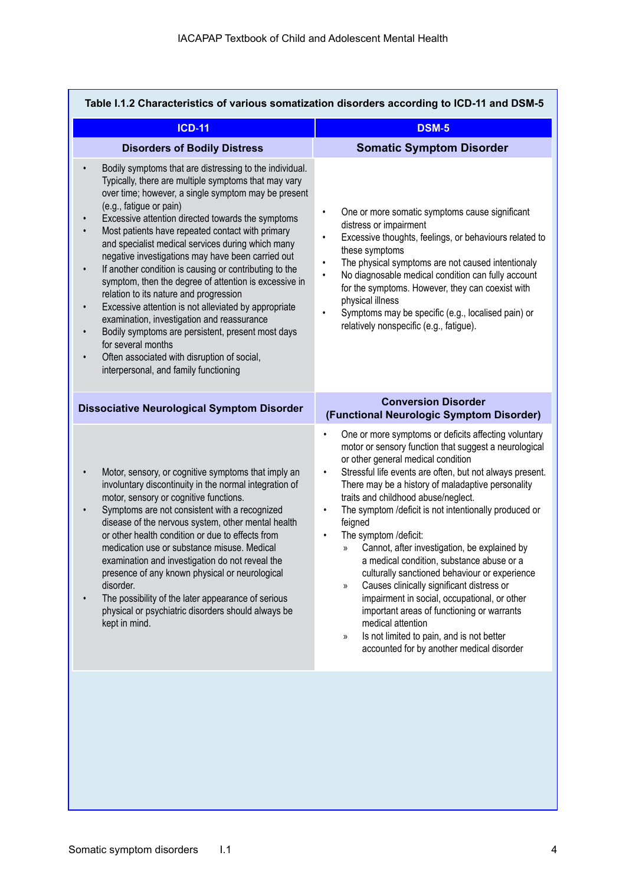| Table I.1.2 Characteristics of various somatization disorders according to ICD-11 and DSM-5                                                                                                                                                                                                                                                                                                                                                                                                                                                                                                                                                                                                                                                                                                                                                                                          |                                                                                                                                                                                                                                                                                                                                                                                                                                                                                                                                                                                                                                                                                                                                                                                                                                                                                       |  |  |  |
|--------------------------------------------------------------------------------------------------------------------------------------------------------------------------------------------------------------------------------------------------------------------------------------------------------------------------------------------------------------------------------------------------------------------------------------------------------------------------------------------------------------------------------------------------------------------------------------------------------------------------------------------------------------------------------------------------------------------------------------------------------------------------------------------------------------------------------------------------------------------------------------|---------------------------------------------------------------------------------------------------------------------------------------------------------------------------------------------------------------------------------------------------------------------------------------------------------------------------------------------------------------------------------------------------------------------------------------------------------------------------------------------------------------------------------------------------------------------------------------------------------------------------------------------------------------------------------------------------------------------------------------------------------------------------------------------------------------------------------------------------------------------------------------|--|--|--|
| <b>ICD-11</b>                                                                                                                                                                                                                                                                                                                                                                                                                                                                                                                                                                                                                                                                                                                                                                                                                                                                        | <b>DSM-5</b>                                                                                                                                                                                                                                                                                                                                                                                                                                                                                                                                                                                                                                                                                                                                                                                                                                                                          |  |  |  |
| <b>Disorders of Bodily Distress</b>                                                                                                                                                                                                                                                                                                                                                                                                                                                                                                                                                                                                                                                                                                                                                                                                                                                  | <b>Somatic Symptom Disorder</b>                                                                                                                                                                                                                                                                                                                                                                                                                                                                                                                                                                                                                                                                                                                                                                                                                                                       |  |  |  |
| Bodily symptoms that are distressing to the individual.<br>Typically, there are multiple symptoms that may vary<br>over time; however, a single symptom may be present<br>(e.g., fatigue or pain)<br>Excessive attention directed towards the symptoms<br>Most patients have repeated contact with primary<br>and specialist medical services during which many<br>negative investigations may have been carried out<br>If another condition is causing or contributing to the<br>$\bullet$<br>symptom, then the degree of attention is excessive in<br>relation to its nature and progression<br>Excessive attention is not alleviated by appropriate<br>$\bullet$<br>examination, investigation and reassurance<br>Bodily symptoms are persistent, present most days<br>for several months<br>Often associated with disruption of social,<br>interpersonal, and family functioning | One or more somatic symptoms cause significant<br>$\bullet$<br>distress or impairment<br>Excessive thoughts, feelings, or behaviours related to<br>$\bullet$<br>these symptoms<br>The physical symptoms are not caused intentionaly<br>$\bullet$<br>No diagnosable medical condition can fully account<br>$\bullet$<br>for the symptoms. However, they can coexist with<br>physical illness<br>Symptoms may be specific (e.g., localised pain) or<br>$\bullet$<br>relatively nonspecific (e.g., fatigue).                                                                                                                                                                                                                                                                                                                                                                             |  |  |  |
| <b>Dissociative Neurological Symptom Disorder</b>                                                                                                                                                                                                                                                                                                                                                                                                                                                                                                                                                                                                                                                                                                                                                                                                                                    | <b>Conversion Disorder</b><br>(Functional Neurologic Symptom Disorder)                                                                                                                                                                                                                                                                                                                                                                                                                                                                                                                                                                                                                                                                                                                                                                                                                |  |  |  |
| Motor, sensory, or cognitive symptoms that imply an<br>involuntary discontinuity in the normal integration of<br>motor, sensory or cognitive functions.<br>Symptoms are not consistent with a recognized<br>disease of the nervous system, other mental health<br>or other health condition or due to effects from<br>medication use or substance misuse. Medical<br>examination and investigation do not reveal the<br>presence of any known physical or neurological<br>disorder.<br>The possibility of the later appearance of serious<br>physical or psychiatric disorders should always be<br>kept in mind.                                                                                                                                                                                                                                                                     | One or more symptoms or deficits affecting voluntary<br>motor or sensory function that suggest a neurological<br>or other general medical condition<br>Stressful life events are often, but not always present.<br>$\bullet$<br>There may be a history of maladaptive personality<br>traits and childhood abuse/neglect.<br>The symptom /deficit is not intentionally produced or<br>$\bullet$<br>feigned<br>The symptom /deficit:<br>Cannot, after investigation, be explained by<br>$\mathcal{D}$<br>a medical condition, substance abuse or a<br>culturally sanctioned behaviour or experience<br>Causes clinically significant distress or<br>$\mathcal{D}$<br>impairment in social, occupational, or other<br>important areas of functioning or warrants<br>medical attention<br>Is not limited to pain, and is not better<br>$\gg$<br>accounted for by another medical disorder |  |  |  |
|                                                                                                                                                                                                                                                                                                                                                                                                                                                                                                                                                                                                                                                                                                                                                                                                                                                                                      |                                                                                                                                                                                                                                                                                                                                                                                                                                                                                                                                                                                                                                                                                                                                                                                                                                                                                       |  |  |  |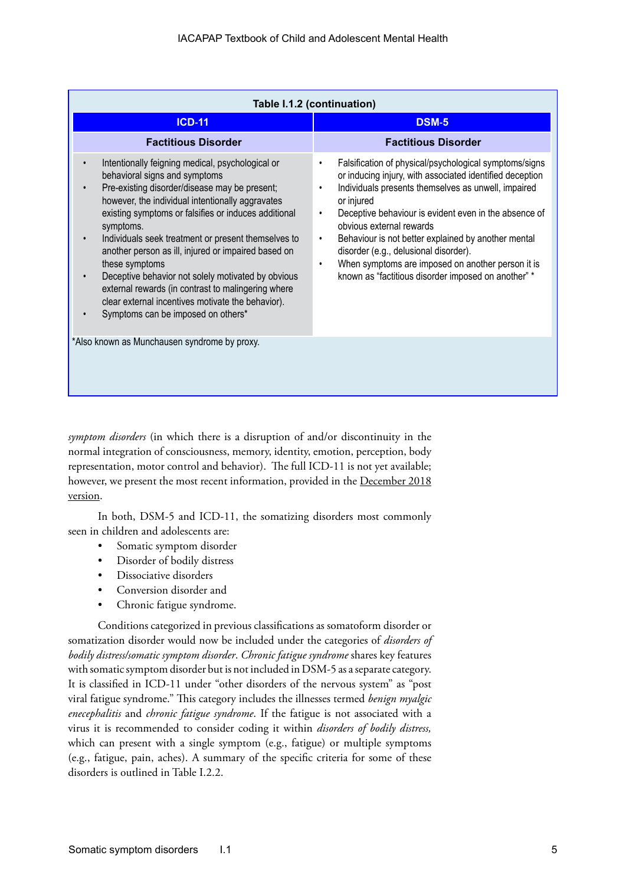| Table I.1.2 (continuation)                                                                                                                                                                                                                                                                                                                                                                                                                                                                                                                                                                                                   |                                                                                                                                                                                                                                                                                                                                                                                                                                                                                                                                      |  |  |  |
|------------------------------------------------------------------------------------------------------------------------------------------------------------------------------------------------------------------------------------------------------------------------------------------------------------------------------------------------------------------------------------------------------------------------------------------------------------------------------------------------------------------------------------------------------------------------------------------------------------------------------|--------------------------------------------------------------------------------------------------------------------------------------------------------------------------------------------------------------------------------------------------------------------------------------------------------------------------------------------------------------------------------------------------------------------------------------------------------------------------------------------------------------------------------------|--|--|--|
| <b>ICD-11</b>                                                                                                                                                                                                                                                                                                                                                                                                                                                                                                                                                                                                                | <b>DSM-5</b>                                                                                                                                                                                                                                                                                                                                                                                                                                                                                                                         |  |  |  |
| <b>Factitious Disorder</b>                                                                                                                                                                                                                                                                                                                                                                                                                                                                                                                                                                                                   | <b>Factitious Disorder</b>                                                                                                                                                                                                                                                                                                                                                                                                                                                                                                           |  |  |  |
| Intentionally feigning medical, psychological or<br>behavioral signs and symptoms<br>Pre-existing disorder/disease may be present;<br>$\bullet$<br>however, the individual intentionally aggravates<br>existing symptoms or falsifies or induces additional<br>symptoms.<br>Individuals seek treatment or present themselves to<br>$\bullet$<br>another person as ill, injured or impaired based on<br>these symptoms<br>Deceptive behavior not solely motivated by obvious<br>external rewards (in contrast to malingering where<br>clear external incentives motivate the behavior).<br>Symptoms can be imposed on others* | Falsification of physical/psychological symptoms/signs<br>or inducing injury, with associated identified deception<br>Individuals presents themselves as unwell, impaired<br>$\bullet$<br>or injured<br>Deceptive behaviour is evident even in the absence of<br>$\bullet$<br>obvious external rewards<br>Behaviour is not better explained by another mental<br>٠<br>disorder (e.g., delusional disorder).<br>When symptoms are imposed on another person it is<br>$\bullet$<br>known as "factitious disorder imposed on another" * |  |  |  |
| *Also known as Munchausen syndrome by proxy.                                                                                                                                                                                                                                                                                                                                                                                                                                                                                                                                                                                 |                                                                                                                                                                                                                                                                                                                                                                                                                                                                                                                                      |  |  |  |

*symptom disorders* (in which there is a disruption of and/or discontinuity in the normal integration of consciousness, memory, identity, emotion, perception, body representation, motor control and behavior). The full ICD-11 is not yet available; however, we present the most recent information, provided in the [December 2018](https://icd.who.int/browse11/l-m/en) [version.](https://icd.who.int/browse11/l-m/en)

In both, DSM-5 and ICD-11, the somatizing disorders most commonly seen in children and adolescents are:

- Somatic symptom disorder
- Disorder of bodily distress
- Dissociative disorders
- Conversion disorder and
- Chronic fatigue syndrome.

Conditions categorized in previous classifications as somatoform disorder or somatization disorder would now be included under the categories of *disorders of bodily distress/somatic symptom disorder*. *Chronic fatigue syndrome* shares key features with somatic symptom disorder but is not included in DSM-5 as a separate category. It is classified in ICD-11 under "other disorders of the nervous system" as "post viral fatigue syndrome." This category includes the illnesses termed *benign myalgic enecephalitis* and *chronic fatigue syndrome*. If the fatigue is not associated with a virus it is recommended to consider coding it within *disorders of bodily distress,* which can present with a single symptom (e.g., fatigue) or multiple symptoms (e.g., fatigue, pain, aches). A summary of the specific criteria for some of these disorders is outlined in Table I.2.2.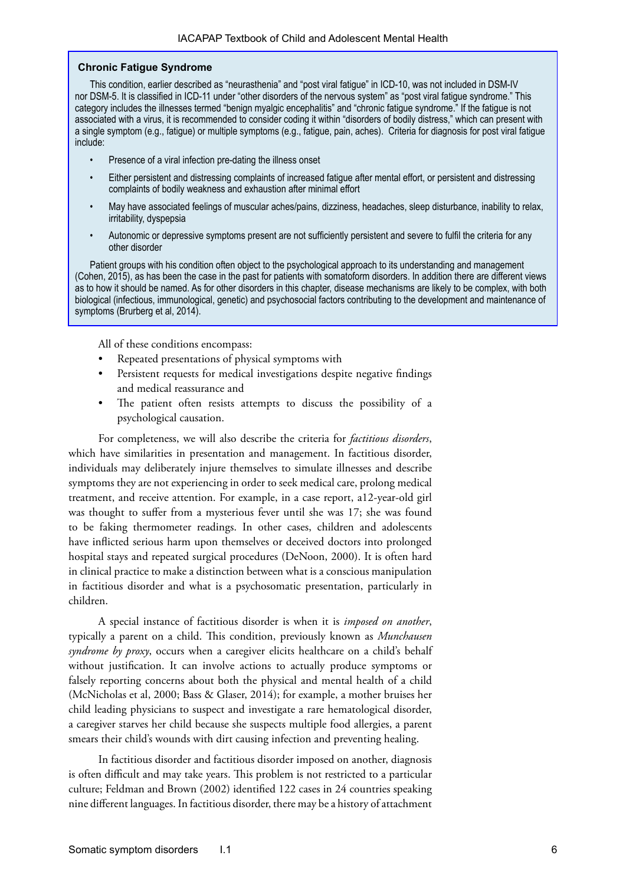#### **Chronic Fatigue Syndrome**

This condition, earlier described as "neurasthenia" and "post viral fatigue" in ICD-10, was not included in DSM-IV nor DSM-5. It is classified in ICD-11 under "other disorders of the nervous system" as "post viral fatigue syndrome." This category includes the illnesses termed "benign myalgic encephalitis" and "chronic fatigue syndrome." If the fatigue is not associated with a virus, it is recommended to consider coding it within "disorders of bodily distress," which can present with a single symptom (e.g., fatigue) or multiple symptoms (e.g., fatigue, pain, aches). Criteria for diagnosis for post viral fatigue include:

- Presence of a viral infection pre-dating the illness onset
- Either persistent and distressing complaints of increased fatigue after mental effort, or persistent and distressing complaints of bodily weakness and exhaustion after minimal effort
- May have associated feelings of muscular aches/pains, dizziness, headaches, sleep disturbance, inability to relax, irritability, dyspepsia
- Autonomic or depressive symptoms present are not sufficiently persistent and severe to fulfil the criteria for any other disorder

Patient groups with his condition often object to the psychological approach to its understanding and management (Cohen, 2015), as has been the case in the past for patients with somatoform disorders. In addition there are different views as to how it should be named. As for other disorders in this chapter, disease mechanisms are likely to be complex, with both biological (infectious, immunological, genetic) and psychosocial factors contributing to the development and maintenance of symptoms (Brurberg et al, 2014).

All of these conditions encompass:

- Repeated presentations of physical symptoms with
- Persistent requests for medical investigations despite negative findings and medical reassurance and
- The patient often resists attempts to discuss the possibility of a psychological causation.

For completeness, we will also describe the criteria for *factitious disorders*, which have similarities in presentation and management. In factitious disorder, individuals may deliberately injure themselves to simulate illnesses and describe symptoms they are not experiencing in order to seek medical care, prolong medical treatment, and receive attention. For example, in a case report, a12-year-old girl was thought to suffer from a mysterious fever until she was 17; she was found to be faking thermometer readings. In other cases, children and adolescents have inflicted serious harm upon themselves or deceived doctors into prolonged hospital stays and repeated surgical procedures (DeNoon, 2000). It is often hard in clinical practice to make a distinction between what is a conscious manipulation in factitious disorder and what is a psychosomatic presentation, particularly in children.

A special instance of factitious disorder is when it is *imposed on another*, typically a parent on a child. This condition, previously known as *Munchausen syndrome by proxy*, occurs when a caregiver elicits healthcare on a child's behalf without justification. It can involve actions to actually produce symptoms or falsely reporting concerns about both the physical and mental health of a child (McNicholas et al, 2000; Bass & Glaser, 2014); for example, a mother bruises her child leading physicians to suspect and investigate a rare hematological disorder, a caregiver starves her child because she suspects multiple food allergies, a parent smears their child's wounds with dirt causing infection and preventing healing.

In factitious disorder and factitious disorder imposed on another, diagnosis is often difficult and may take years. This problem is not restricted to a particular culture; Feldman and Brown (2002) identified 122 cases in 24 countries speaking nine different languages. In factitious disorder, there may be a history of attachment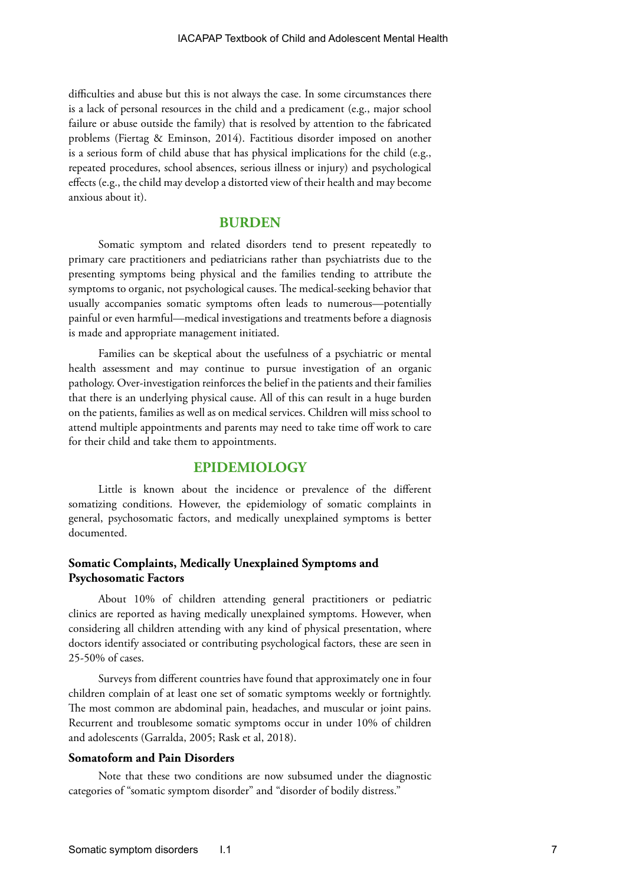difficulties and abuse but this is not always the case. In some circumstances there is a lack of personal resources in the child and a predicament (e.g., major school failure or abuse outside the family) that is resolved by attention to the fabricated problems (Fiertag & Eminson, 2014). Factitious disorder imposed on another is a serious form of child abuse that has physical implications for the child (e.g., repeated procedures, school absences, serious illness or injury) and psychological effects (e.g., the child may develop a distorted view of their health and may become anxious about it).

# **BURDEN**

Somatic symptom and related disorders tend to present repeatedly to primary care practitioners and pediatricians rather than psychiatrists due to the presenting symptoms being physical and the families tending to attribute the symptoms to organic, not psychological causes. The medical-seeking behavior that usually accompanies somatic symptoms often leads to numerous—potentially painful or even harmful—medical investigations and treatments before a diagnosis is made and appropriate management initiated.

Families can be skeptical about the usefulness of a psychiatric or mental health assessment and may continue to pursue investigation of an organic pathology. Over-investigation reinforces the belief in the patients and their families that there is an underlying physical cause. All of this can result in a huge burden on the patients, families as well as on medical services. Children will miss school to attend multiple appointments and parents may need to take time off work to care for their child and take them to appointments.

# **EPIDEMIOLOGY**

Little is known about the incidence or prevalence of the different somatizing conditions. However, the epidemiology of somatic complaints in general, psychosomatic factors, and medically unexplained symptoms is better documented.

# **Somatic Complaints, Medically Unexplained Symptoms and Psychosomatic Factors**

About 10% of children attending general practitioners or pediatric clinics are reported as having medically unexplained symptoms. However, when considering all children attending with any kind of physical presentation, where doctors identify associated or contributing psychological factors, these are seen in 25-50% of cases.

Surveys from different countries have found that approximately one in four children complain of at least one set of somatic symptoms weekly or fortnightly. The most common are abdominal pain, headaches, and muscular or joint pains. Recurrent and troublesome somatic symptoms occur in under 10% of children and adolescents (Garralda, 2005; Rask et al, 2018).

#### **Somatoform and Pain Disorders**

Note that these two conditions are now subsumed under the diagnostic categories of "somatic symptom disorder" and "disorder of bodily distress."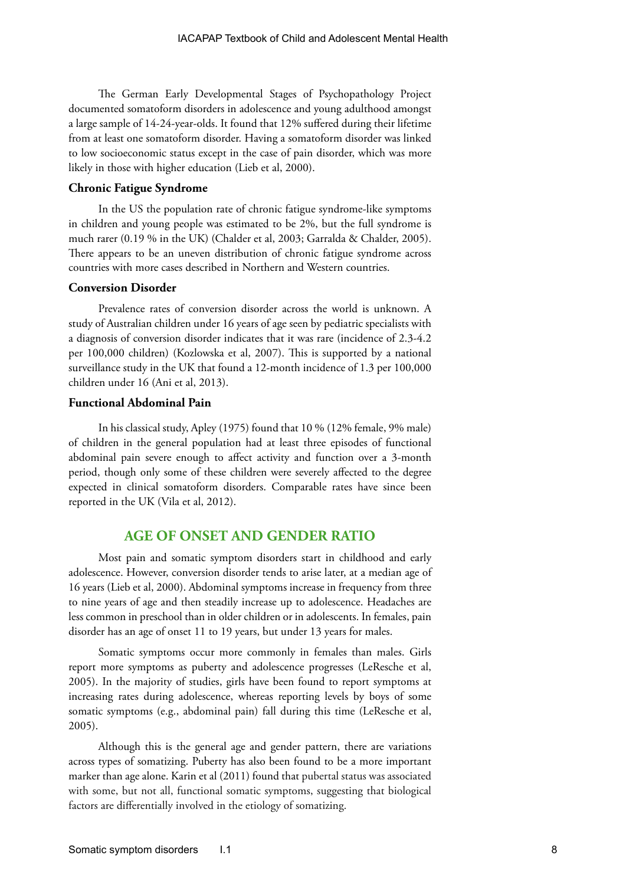The German Early Developmental Stages of Psychopathology Project documented somatoform disorders in adolescence and young adulthood amongst a large sample of 14-24-year-olds. It found that 12% suffered during their lifetime from at least one somatoform disorder. Having a somatoform disorder was linked to low socioeconomic status except in the case of pain disorder, which was more likely in those with higher education (Lieb et al, 2000).

#### **Chronic Fatigue Syndrome**

In the US the population rate of chronic fatigue syndrome-like symptoms in children and young people was estimated to be 2%, but the full syndrome is much rarer (0.19 % in the UK) (Chalder et al, 2003; Garralda & Chalder, 2005). There appears to be an uneven distribution of chronic fatigue syndrome across countries with more cases described in Northern and Western countries.

#### **Conversion Disorder**

Prevalence rates of conversion disorder across the world is unknown. A study of Australian children under 16 years of age seen by pediatric specialists with a diagnosis of conversion disorder indicates that it was rare (incidence of 2.3-4.2 per 100,000 children) (Kozlowska et al, 2007). This is supported by a national surveillance study in the UK that found a 12-month incidence of 1.3 per 100,000 children under 16 (Ani et al, 2013).

#### **Functional Abdominal Pain**

In his classical study, Apley (1975) found that 10 % (12% female, 9% male) of children in the general population had at least three episodes of functional abdominal pain severe enough to affect activity and function over a 3-month period, though only some of these children were severely affected to the degree expected in clinical somatoform disorders. Comparable rates have since been reported in the UK (Vila et al, 2012).

# **AGE OF ONSET AND GENDER RATIO**

Most pain and somatic symptom disorders start in childhood and early adolescence. However, conversion disorder tends to arise later, at a median age of 16 years (Lieb et al, 2000). Abdominal symptoms increase in frequency from three to nine years of age and then steadily increase up to adolescence. Headaches are less common in preschool than in older children or in adolescents. In females, pain disorder has an age of onset 11 to 19 years, but under 13 years for males.

Somatic symptoms occur more commonly in females than males. Girls report more symptoms as puberty and adolescence progresses (LeResche et al, 2005). In the majority of studies, girls have been found to report symptoms at increasing rates during adolescence, whereas reporting levels by boys of some somatic symptoms (e.g., abdominal pain) fall during this time (LeResche et al, 2005).

Although this is the general age and gender pattern, there are variations across types of somatizing. Puberty has also been found to be a more important marker than age alone. Karin et al (2011) found that pubertal status was associated with some, but not all, functional somatic symptoms, suggesting that biological factors are differentially involved in the etiology of somatizing.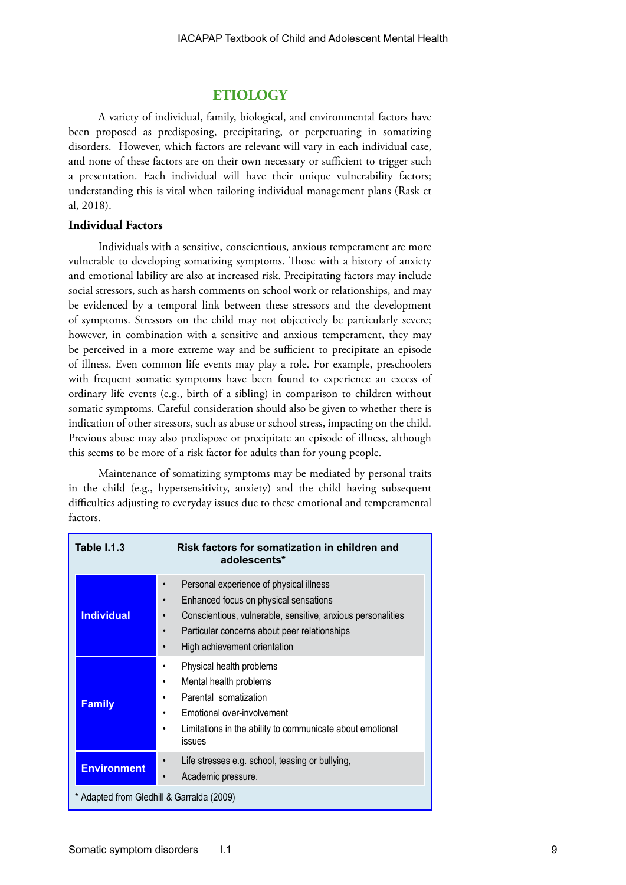# **ETIOLOGY**

A variety of individual, family, biological, and environmental factors have been proposed as predisposing, precipitating, or perpetuating in somatizing disorders. However, which factors are relevant will vary in each individual case, and none of these factors are on their own necessary or sufficient to trigger such a presentation. Each individual will have their unique vulnerability factors; understanding this is vital when tailoring individual management plans (Rask et al, 2018).

# **Individual Factors**

Individuals with a sensitive, conscientious, anxious temperament are more vulnerable to developing somatizing symptoms. Those with a history of anxiety and emotional lability are also at increased risk. Precipitating factors may include social stressors, such as harsh comments on school work or relationships, and may be evidenced by a temporal link between these stressors and the development of symptoms. Stressors on the child may not objectively be particularly severe; however, in combination with a sensitive and anxious temperament, they may be perceived in a more extreme way and be sufficient to precipitate an episode of illness. Even common life events may play a role. For example, preschoolers with frequent somatic symptoms have been found to experience an excess of ordinary life events (e.g., birth of a sibling) in comparison to children without somatic symptoms. Careful consideration should also be given to whether there is indication of other stressors, such as abuse or school stress, impacting on the child. Previous abuse may also predispose or precipitate an episode of illness, although this seems to be more of a risk factor for adults than for young people.

Maintenance of somatizing symptoms may be mediated by personal traits in the child (e.g., hypersensitivity, anxiety) and the child having subsequent difficulties adjusting to everyday issues due to these emotional and temperamental factors.

| <b>Table 1.1.3</b>                        | Risk factors for somatization in children and<br>adolescents*                                                                                                                                                                   |  |
|-------------------------------------------|---------------------------------------------------------------------------------------------------------------------------------------------------------------------------------------------------------------------------------|--|
| <b>Individual</b>                         | Personal experience of physical illness<br>Enhanced focus on physical sensations<br>Conscientious, vulnerable, sensitive, anxious personalities<br>Particular concerns about peer relationships<br>High achievement orientation |  |
| <b>Family</b>                             | Physical health problems<br>Mental health problems<br>٠<br>Parental somatization<br>Emotional over-involvement<br>Limitations in the ability to communicate about emotional<br>issues                                           |  |
| <b>Environment</b>                        | Life stresses e.g. school, teasing or bullying,<br>Academic pressure.<br>$\bullet$                                                                                                                                              |  |
| * Adapted from Gledhill & Garralda (2009) |                                                                                                                                                                                                                                 |  |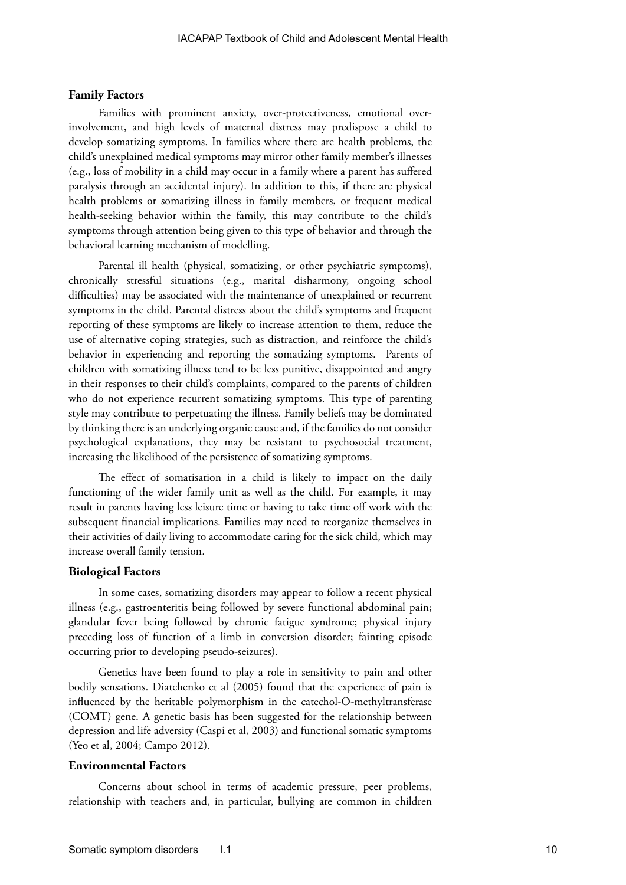#### **Family Factors**

Families with prominent anxiety, over-protectiveness, emotional overinvolvement, and high levels of maternal distress may predispose a child to develop somatizing symptoms. In families where there are health problems, the child's unexplained medical symptoms may mirror other family member's illnesses (e.g., loss of mobility in a child may occur in a family where a parent has suffered paralysis through an accidental injury). In addition to this, if there are physical health problems or somatizing illness in family members, or frequent medical health-seeking behavior within the family, this may contribute to the child's symptoms through attention being given to this type of behavior and through the behavioral learning mechanism of modelling.

Parental ill health (physical, somatizing, or other psychiatric symptoms), chronically stressful situations (e.g., marital disharmony, ongoing school difficulties) may be associated with the maintenance of unexplained or recurrent symptoms in the child. Parental distress about the child's symptoms and frequent reporting of these symptoms are likely to increase attention to them, reduce the use of alternative coping strategies, such as distraction, and reinforce the child's behavior in experiencing and reporting the somatizing symptoms. Parents of children with somatizing illness tend to be less punitive, disappointed and angry in their responses to their child's complaints, compared to the parents of children who do not experience recurrent somatizing symptoms. This type of parenting style may contribute to perpetuating the illness. Family beliefs may be dominated by thinking there is an underlying organic cause and, if the families do not consider psychological explanations, they may be resistant to psychosocial treatment, increasing the likelihood of the persistence of somatizing symptoms.

The effect of somatisation in a child is likely to impact on the daily functioning of the wider family unit as well as the child. For example, it may result in parents having less leisure time or having to take time off work with the subsequent financial implications. Families may need to reorganize themselves in their activities of daily living to accommodate caring for the sick child, which may increase overall family tension.

### **Biological Factors**

In some cases, somatizing disorders may appear to follow a recent physical illness (e.g., gastroenteritis being followed by severe functional abdominal pain; glandular fever being followed by chronic fatigue syndrome; physical injury preceding loss of function of a limb in conversion disorder; fainting episode occurring prior to developing pseudo-seizures).

Genetics have been found to play a role in sensitivity to pain and other bodily sensations. Diatchenko et al (2005) found that the experience of pain is influenced by the heritable polymorphism in the catechol-O-methyltransferase (COMT) gene. A genetic basis has been suggested for the relationship between depression and life adversity (Caspi et al, 2003) and functional somatic symptoms (Yeo et al, 2004; Campo 2012).

#### **Environmental Factors**

Concerns about school in terms of academic pressure, peer problems, relationship with teachers and, in particular, bullying are common in children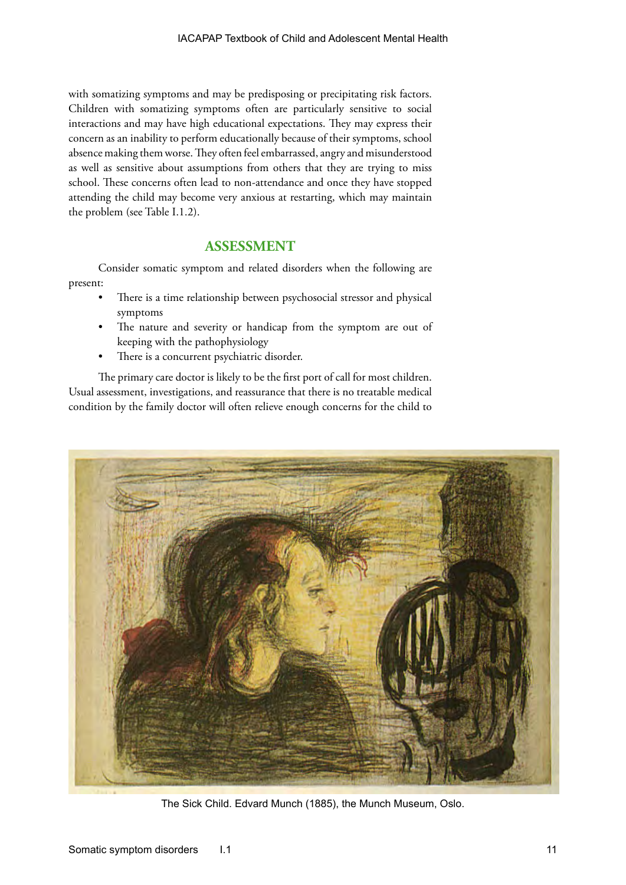with somatizing symptoms and may be predisposing or precipitating risk factors. Children with somatizing symptoms often are particularly sensitive to social interactions and may have high educational expectations. They may express their concern as an inability to perform educationally because of their symptoms, school absence making them worse. They often feel embarrassed, angry and misunderstood as well as sensitive about assumptions from others that they are trying to miss school. These concerns often lead to non-attendance and once they have stopped attending the child may become very anxious at restarting, which may maintain the problem (see Table I.1.2).

# **ASSESSMENT**

Consider somatic symptom and related disorders when the following are present:

- There is a time relationship between psychosocial stressor and physical symptoms
- The nature and severity or handicap from the symptom are out of keeping with the pathophysiology
- There is a concurrent psychiatric disorder.

The primary care doctor is likely to be the first port of call for most children. Usual assessment, investigations, and reassurance that there is no treatable medical condition by the family doctor will often relieve enough concerns for the child to



The Sick Child. Edvard Munch (1885), the Munch Museum, Oslo.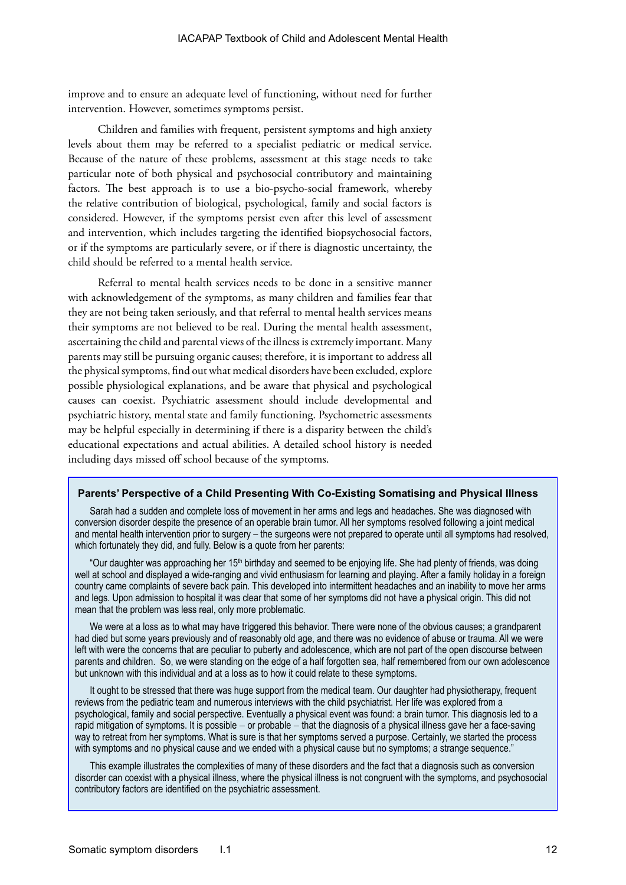improve and to ensure an adequate level of functioning, without need for further intervention. However, sometimes symptoms persist.

Children and families with frequent, persistent symptoms and high anxiety levels about them may be referred to a specialist pediatric or medical service. Because of the nature of these problems, assessment at this stage needs to take particular note of both physical and psychosocial contributory and maintaining factors. The best approach is to use a bio-psycho-social framework, whereby the relative contribution of biological, psychological, family and social factors is considered. However, if the symptoms persist even after this level of assessment and intervention, which includes targeting the identified biopsychosocial factors, or if the symptoms are particularly severe, or if there is diagnostic uncertainty, the child should be referred to a mental health service.

Referral to mental health services needs to be done in a sensitive manner with acknowledgement of the symptoms, as many children and families fear that they are not being taken seriously, and that referral to mental health services means their symptoms are not believed to be real. During the mental health assessment, ascertaining the child and parental views of the illness is extremely important. Many parents may still be pursuing organic causes; therefore, it is important to address all the physical symptoms, find out what medical disorders have been excluded, explore possible physiological explanations, and be aware that physical and psychological causes can coexist. Psychiatric assessment should include developmental and psychiatric history, mental state and family functioning. Psychometric assessments may be helpful especially in determining if there is a disparity between the child's educational expectations and actual abilities. A detailed school history is needed including days missed off school because of the symptoms.

#### **Parents' Perspective of a Child Presenting With Co-Existing Somatising and Physical Illness**

Sarah had a sudden and complete loss of movement in her arms and legs and headaches. She was diagnosed with conversion disorder despite the presence of an operable brain tumor. All her symptoms resolved following a joint medical and mental health intervention prior to surgery – the surgeons were not prepared to operate until all symptoms had resolved, which fortunately they did, and fully. Below is a quote from her parents:

"Our daughter was approaching her 15<sup>th</sup> birthday and seemed to be enjoying life. She had plenty of friends, was doing well at school and displayed a wide-ranging and vivid enthusiasm for learning and playing. After a family holiday in a foreign country came complaints of severe back pain. This developed into intermittent headaches and an inability to move her arms and legs. Upon admission to hospital it was clear that some of her symptoms did not have a physical origin. This did not mean that the problem was less real, only more problematic.

We were at a loss as to what may have triggered this behavior. There were none of the obvious causes; a grandparent had died but some years previously and of reasonably old age, and there was no evidence of abuse or trauma. All we were left with were the concerns that are peculiar to puberty and adolescence, which are not part of the open discourse between parents and children. So, we were standing on the edge of a half forgotten sea, half remembered from our own adolescence but unknown with this individual and at a loss as to how it could relate to these symptoms.

It ought to be stressed that there was huge support from the medical team. Our daughter had physiotherapy, frequent reviews from the pediatric team and numerous interviews with the child psychiatrist. Her life was explored from a psychological, family and social perspective. Eventually a physical event was found: a brain tumor. This diagnosis led to a rapid mitigation of symptoms. It is possible − or probable − that the diagnosis of a physical illness gave her a face-saving way to retreat from her symptoms. What is sure is that her symptoms served a purpose. Certainly, we started the process with symptoms and no physical cause and we ended with a physical cause but no symptoms; a strange sequence."

This example illustrates the complexities of many of these disorders and the fact that a diagnosis such as conversion disorder can coexist with a physical illness, where the physical illness is not congruent with the symptoms, and psychosocial contributory factors are identified on the psychiatric assessment.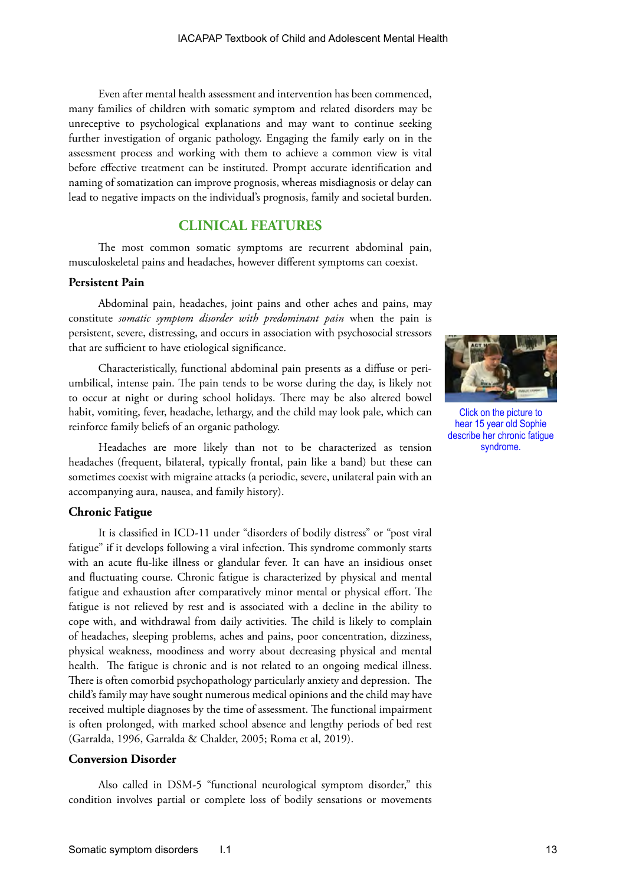Even after mental health assessment and intervention has been commenced, many families of children with somatic symptom and related disorders may be unreceptive to psychological explanations and may want to continue seeking further investigation of organic pathology. Engaging the family early on in the assessment process and working with them to achieve a common view is vital before effective treatment can be instituted. Prompt accurate identification and naming of somatization can improve prognosis, whereas misdiagnosis or delay can lead to negative impacts on the individual's prognosis, family and societal burden.

# **CLINICAL FEATURES**

The most common somatic symptoms are recurrent abdominal pain, musculoskeletal pains and headaches, however different symptoms can coexist.

#### **Persistent Pain**

Abdominal pain, headaches, joint pains and other aches and pains, may constitute *somatic symptom disorder with predominant pain* when the pain is persistent, severe, distressing, and occurs in association with psychosocial stressors that are sufficient to have etiological significance.

Characteristically, functional abdominal pain presents as a diffuse or periumbilical, intense pain. The pain tends to be worse during the day, is likely not to occur at night or during school holidays. There may be also altered bowel habit, vomiting, fever, headache, lethargy, and the child may look pale, which can reinforce family beliefs of an organic pathology.

Headaches are more likely than not to be characterized as tension headaches (frequent, bilateral, typically frontal, pain like a band) but these can sometimes coexist with migraine attacks (a periodic, severe, unilateral pain with an accompanying aura, nausea, and family history).

#### **Chronic Fatigue**

It is classified in ICD-11 under "disorders of bodily distress" or "post viral fatigue" if it develops following a viral infection. This syndrome commonly starts with an acute flu-like illness or glandular fever. It can have an insidious onset and fluctuating course. Chronic fatigue is characterized by physical and mental fatigue and exhaustion after comparatively minor mental or physical effort. The fatigue is not relieved by rest and is associated with a decline in the ability to cope with, and withdrawal from daily activities. The child is likely to complain of headaches, sleeping problems, aches and pains, poor concentration, dizziness, physical weakness, moodiness and worry about decreasing physical and mental health. The fatigue is chronic and is not related to an ongoing medical illness. There is often comorbid psychopathology particularly anxiety and depression. The child's family may have sought numerous medical opinions and the child may have received multiple diagnoses by the time of assessment. The functional impairment is often prolonged, with marked school absence and lengthy periods of bed rest (Garralda, 1996, Garralda & Chalder, 2005; Roma et al, 2019).

# **Conversion Disorder**

Also called in DSM-5 "functional neurological symptom disorder," this condition involves partial or complete loss of bodily sensations or movements



Click on the picture to hear 15 year old Sophie describe her chronic fatigue syndrome.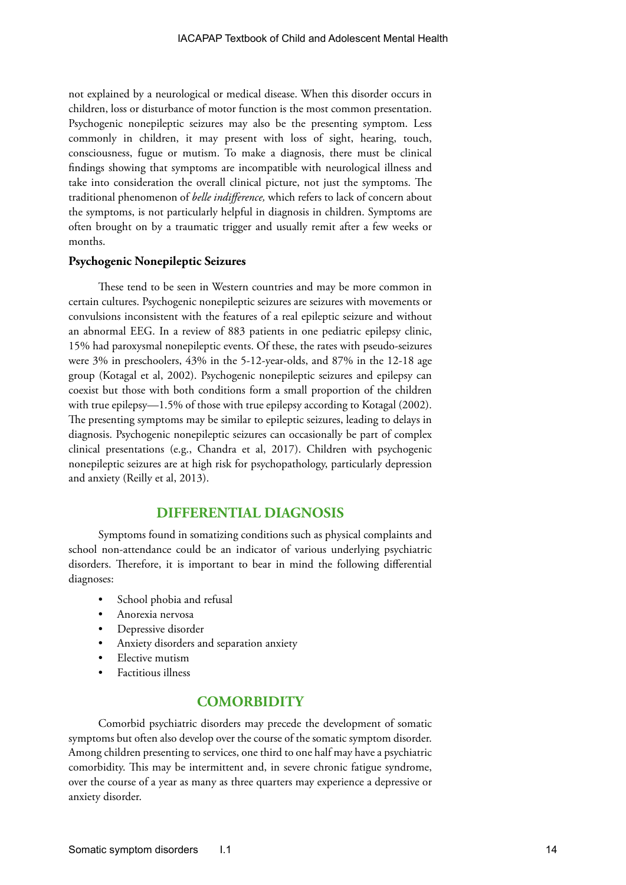not explained by a neurological or medical disease. When this disorder occurs in children, loss or disturbance of motor function is the most common presentation. Psychogenic nonepileptic seizures may also be the presenting symptom. Less commonly in children, it may present with loss of sight, hearing, touch, consciousness, fugue or mutism. To make a diagnosis, there must be clinical findings showing that symptoms are incompatible with neurological illness and take into consideration the overall clinical picture, not just the symptoms. The traditional phenomenon of *belle indifference,* which refers to lack of concern about the symptoms, is not particularly helpful in diagnosis in children. Symptoms are often brought on by a traumatic trigger and usually remit after a few weeks or months.

#### **Psychogenic Nonepileptic Seizures**

These tend to be seen in Western countries and may be more common in certain cultures. Psychogenic nonepileptic seizures are seizures with movements or convulsions inconsistent with the features of a real epileptic seizure and without an abnormal EEG. In a review of 883 patients in one pediatric epilepsy clinic, 15% had paroxysmal nonepileptic events. Of these, the rates with pseudo-seizures were 3% in preschoolers, 43% in the 5-12-year-olds, and 87% in the 12-18 age group (Kotagal et al, 2002). Psychogenic nonepileptic seizures and epilepsy can coexist but those with both conditions form a small proportion of the children with true epilepsy—1.5% of those with true epilepsy according to Kotagal (2002). The presenting symptoms may be similar to epileptic seizures, leading to delays in diagnosis. Psychogenic nonepileptic seizures can occasionally be part of complex clinical presentations (e.g., [Chandra et al, 2017](https://spiral.imperial.ac.uk:8443/bitstream/10044/1/40964/2/Hyperventilation-Induced%20Non-epileptic%20Seizures%20in%20an%20Adolescent%20Boy%20with%20Pediatric%20Medical%20Traumatic%20Stress.pdf)). Children with psychogenic nonepileptic seizures are at high risk for psychopathology, particularly depression and anxiety (Reilly et al, 2013).

# **DIFFERENTIAL DIAGNOSIS**

Symptoms found in somatizing conditions such as physical complaints and school non-attendance could be an indicator of various underlying psychiatric disorders. Therefore, it is important to bear in mind the following differential diagnoses:

- School phobia and refusal
- Anorexia nervosa
- Depressive disorder
- Anxiety disorders and separation anxiety
- Elective mutism
- Factitious illness

# **COMORBIDITY**

Comorbid psychiatric disorders may precede the development of somatic symptoms but often also develop over the course of the somatic symptom disorder. Among children presenting to services, one third to one half may have a psychiatric comorbidity. This may be intermittent and, in severe chronic fatigue syndrome, over the course of a year as many as three quarters may experience a depressive or anxiety disorder.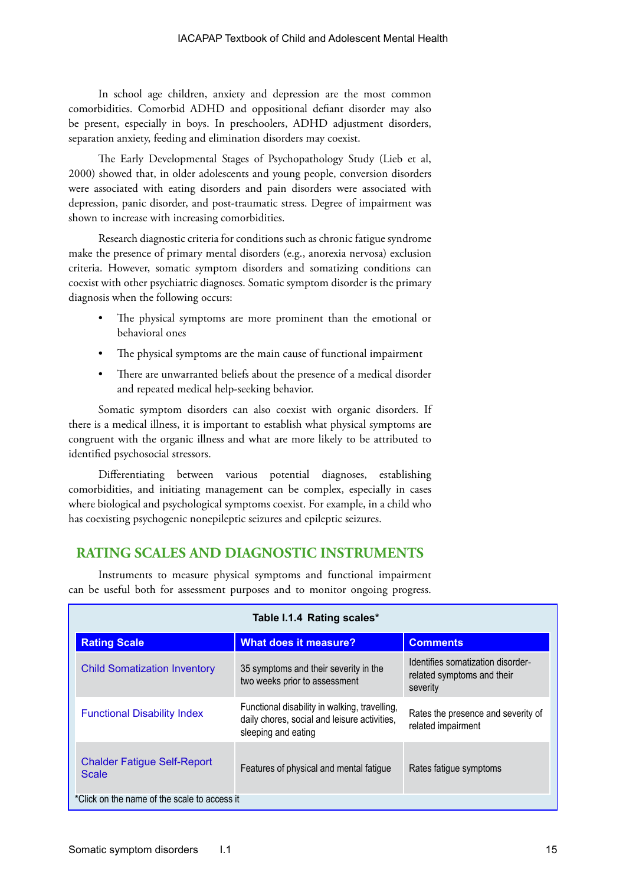In school age children, anxiety and depression are the most common comorbidities. Comorbid ADHD and oppositional defiant disorder may also be present, especially in boys. In preschoolers, ADHD adjustment disorders, separation anxiety, feeding and elimination disorders may coexist.

The Early Developmental Stages of Psychopathology Study (Lieb et al, 2000) showed that, in older adolescents and young people, conversion disorders were associated with eating disorders and pain disorders were associated with depression, panic disorder, and post-traumatic stress. Degree of impairment was shown to increase with increasing comorbidities.

Research diagnostic criteria for conditions such as chronic fatigue syndrome make the presence of primary mental disorders (e.g., anorexia nervosa) exclusion criteria. However, somatic symptom disorders and somatizing conditions can coexist with other psychiatric diagnoses. Somatic symptom disorder is the primary diagnosis when the following occurs:

- The physical symptoms are more prominent than the emotional or behavioral ones
- The physical symptoms are the main cause of functional impairment
- There are unwarranted beliefs about the presence of a medical disorder and repeated medical help-seeking behavior.

Somatic symptom disorders can also coexist with organic disorders. If there is a medical illness, it is important to establish what physical symptoms are congruent with the organic illness and what are more likely to be attributed to identified psychosocial stressors.

Differentiating between various potential diagnoses, establishing comorbidities, and initiating management can be complex, especially in cases where biological and psychological symptoms coexist. For example, in a child who has coexisting psychogenic nonepileptic seizures and epileptic seizures.

# **RATING SCALES AND DIAGNOSTIC INSTRUMENTS**

Instruments to measure physical symptoms and functional impairment can be useful both for assessment purposes and to monitor ongoing progress.

| Table I.1.4 Rating scales*                         |                                                                                                                      |                                                                             |  |
|----------------------------------------------------|----------------------------------------------------------------------------------------------------------------------|-----------------------------------------------------------------------------|--|
| <b>Rating Scale</b>                                | <b>What does it measure?</b>                                                                                         | <b>Comments</b>                                                             |  |
| <b>Child Somatization Inventory</b>                | 35 symptoms and their severity in the<br>two weeks prior to assessment                                               | Identifies somatization disorder-<br>related symptoms and their<br>severity |  |
| <b>Functional Disability Index</b>                 | Functional disability in walking, travelling,<br>daily chores, social and leisure activities,<br>sleeping and eating | Rates the presence and severity of<br>related impairment                    |  |
| <b>Chalder Fatigue Self-Report</b><br><b>Scale</b> | Features of physical and mental fatigue                                                                              | Rates fatigue symptoms                                                      |  |
| *Click on the name of the scale to access it       |                                                                                                                      |                                                                             |  |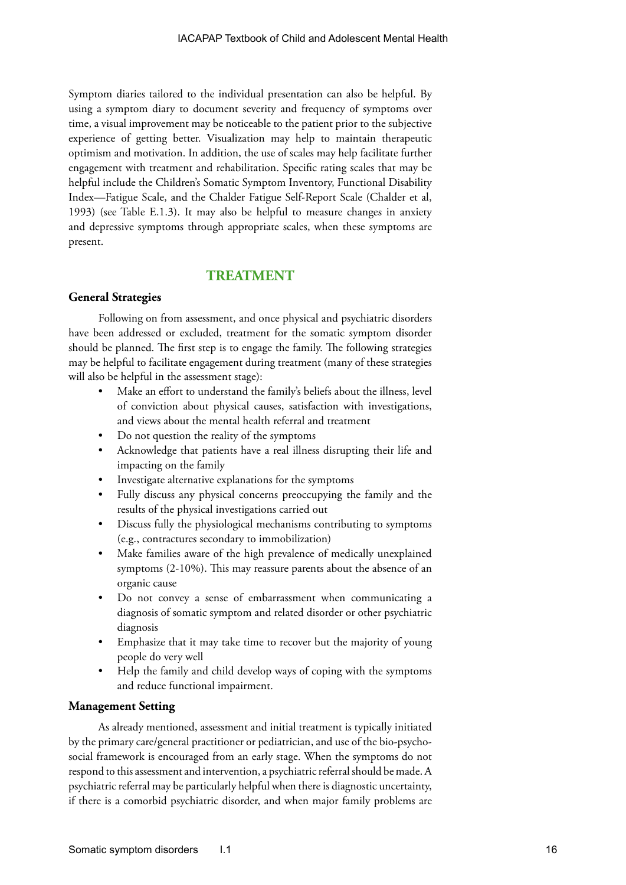Symptom diaries tailored to the individual presentation can also be helpful. By using a symptom diary to document severity and frequency of symptoms over time, a visual improvement may be noticeable to the patient prior to the subjective experience of getting better. Visualization may help to maintain therapeutic optimism and motivation. In addition, the use of scales may help facilitate further engagement with treatment and rehabilitation. Specific rating scales that may be helpful include the Children's Somatic Symptom Inventory, Functional Disability Index—Fatigue Scale, and the Chalder Fatigue Self-Report Scale (Chalder et al, 1993) (see Table E.1.3). It may also be helpful to measure changes in anxiety and depressive symptoms through appropriate scales, when these symptoms are present.

# **TREATMENT**

# **General Strategies**

Following on from assessment, and once physical and psychiatric disorders have been addressed or excluded, treatment for the somatic symptom disorder should be planned. The first step is to engage the family. The following strategies may be helpful to facilitate engagement during treatment (many of these strategies will also be helpful in the assessment stage):

- Make an effort to understand the family's beliefs about the illness, level of conviction about physical causes, satisfaction with investigations, and views about the mental health referral and treatment
- Do not question the reality of the symptoms
- Acknowledge that patients have a real illness disrupting their life and impacting on the family
- Investigate alternative explanations for the symptoms
- Fully discuss any physical concerns preoccupying the family and the results of the physical investigations carried out
- Discuss fully the physiological mechanisms contributing to symptoms (e.g., contractures secondary to immobilization)
- Make families aware of the high prevalence of medically unexplained symptoms (2-10%). This may reassure parents about the absence of an organic cause
- Do not convey a sense of embarrassment when communicating a diagnosis of somatic symptom and related disorder or other psychiatric diagnosis
- Emphasize that it may take time to recover but the majority of young people do very well
- Help the family and child develop ways of coping with the symptoms and reduce functional impairment.

# **Management Setting**

As already mentioned, assessment and initial treatment is typically initiated by the primary care/general practitioner or pediatrician, and use of the bio-psychosocial framework is encouraged from an early stage. When the symptoms do not respond to this assessment and intervention, a psychiatric referral should be made. A psychiatric referral may be particularly helpful when there is diagnostic uncertainty, if there is a comorbid psychiatric disorder, and when major family problems are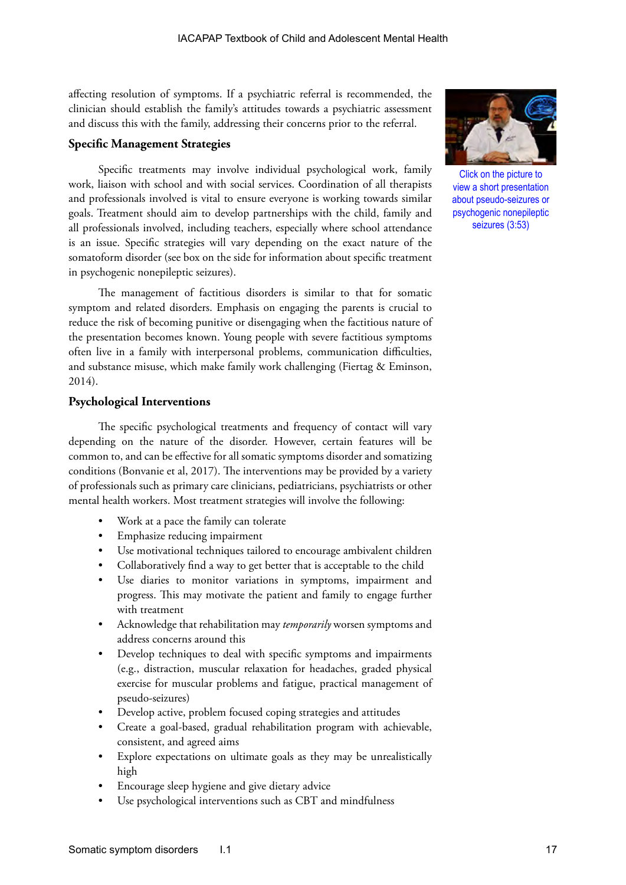affecting resolution of symptoms. If a psychiatric referral is recommended, the clinician should establish the family's attitudes towards a psychiatric assessment and discuss this with the family, addressing their concerns prior to the referral.

# **Specific Management Strategies**

Specific treatments may involve individual psychological work, family work, liaison with school and with social services. Coordination of all therapists and professionals involved is vital to ensure everyone is working towards similar goals. Treatment should aim to develop partnerships with the child, family and all professionals involved, including teachers, especially where school attendance is an issue. Specific strategies will vary depending on the exact nature of the somatoform disorder (see box on the side for information about specific treatment in psychogenic nonepileptic seizures).

The management of factitious disorders is similar to that for somatic symptom and related disorders. Emphasis on engaging the parents is crucial to reduce the risk of becoming punitive or disengaging when the factitious nature of the presentation becomes known. Young people with severe factitious symptoms often live in a family with interpersonal problems, communication difficulties, and substance misuse, which make family work challenging (Fiertag & Eminson, 2014).

## **Psychological Interventions**

The specific psychological treatments and frequency of contact will vary depending on the nature of the disorder. However, certain features will be common to, and can be effective for all somatic symptoms disorder and somatizing conditions (Bonvanie et al, 2017). The interventions may be provided by a variety of professionals such as primary care clinicians, pediatricians, psychiatrists or other mental health workers. Most treatment strategies will involve the following:

- Work at a pace the family can tolerate
- Emphasize reducing impairment
- Use motivational techniques tailored to encourage ambivalent children
- Collaboratively find a way to get better that is acceptable to the child
- Use diaries to monitor variations in symptoms, impairment and progress. This may motivate the patient and family to engage further with treatment
- Acknowledge that rehabilitation may *temporarily* worsen symptoms and address concerns around this
- Develop techniques to deal with specific symptoms and impairments (e.g., distraction, muscular relaxation for headaches, graded physical exercise for muscular problems and fatigue, practical management of pseudo-seizures)
- Develop active, problem focused coping strategies and attitudes
- Create a goal-based, gradual rehabilitation program with achievable, consistent, and agreed aims
- Explore expectations on ultimate goals as they may be unrealistically high
- Encourage sleep hygiene and give dietary advice
- Use psychological interventions such as CBT and mindfulness



Click on the picture to view a short presentation about pseudo-seizures or psychogenic nonepileptic seizures (3:53)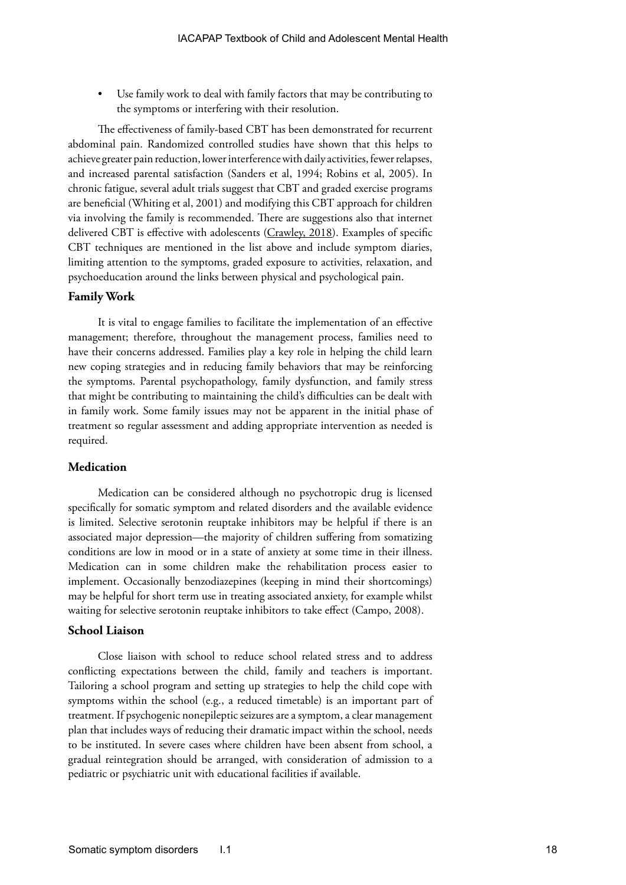Use family work to deal with family factors that may be contributing to the symptoms or interfering with their resolution.

The effectiveness of family-based CBT has been demonstrated for recurrent abdominal pain. Randomized controlled studies have shown that this helps to achieve greater pain reduction, lower interference with daily activities, fewer relapses, and increased parental satisfaction (Sanders et al, 1994; Robins et al, 2005). In chronic fatigue, several adult trials suggest that CBT and graded exercise programs are beneficial (Whiting et al, 2001) and modifying this CBT approach for children via involving the family is recommended. There are suggestions also that internet delivered CBT is effective with adolescents [\(Crawley, 2018\)](https://doi.org/10.2147/PHMT.S126253). Examples of specific CBT techniques are mentioned in the list above and include symptom diaries, limiting attention to the symptoms, graded exposure to activities, relaxation, and psychoeducation around the links between physical and psychological pain.

#### **Family Work**

It is vital to engage families to facilitate the implementation of an effective management; therefore, throughout the management process, families need to have their concerns addressed. Families play a key role in helping the child learn new coping strategies and in reducing family behaviors that may be reinforcing the symptoms. Parental psychopathology, family dysfunction, and family stress that might be contributing to maintaining the child's difficulties can be dealt with in family work. Some family issues may not be apparent in the initial phase of treatment so regular assessment and adding appropriate intervention as needed is required.

# **Medication**

Medication can be considered although no psychotropic drug is licensed specifically for somatic symptom and related disorders and the available evidence is limited. Selective serotonin reuptake inhibitors may be helpful if there is an associated major depression—the majority of children suffering from somatizing conditions are low in mood or in a state of anxiety at some time in their illness. Medication can in some children make the rehabilitation process easier to implement. Occasionally benzodiazepines (keeping in mind their shortcomings) may be helpful for short term use in treating associated anxiety, for example whilst waiting for selective serotonin reuptake inhibitors to take effect (Campo, 2008).

#### **School Liaison**

Close liaison with school to reduce school related stress and to address conflicting expectations between the child, family and teachers is important. Tailoring a school program and setting up strategies to help the child cope with symptoms within the school (e.g., a reduced timetable) is an important part of treatment. If psychogenic nonepileptic seizures are a symptom, a clear management plan that includes ways of reducing their dramatic impact within the school, needs to be instituted. In severe cases where children have been absent from school, a gradual reintegration should be arranged, with consideration of admission to a pediatric or psychiatric unit with educational facilities if available.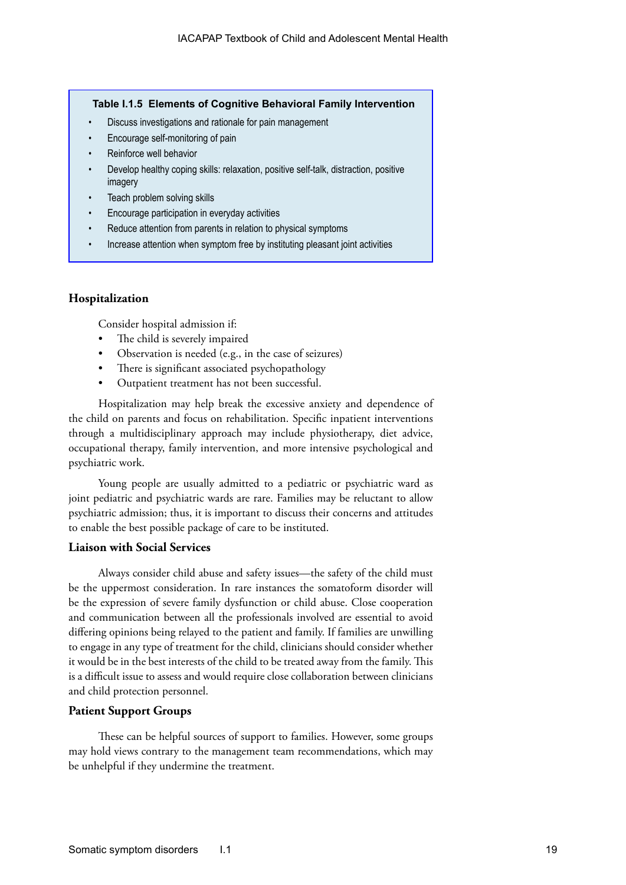### **Table I.1.5 Elements of Cognitive Behavioral Family Intervention**

- Discuss investigations and rationale for pain management
- Encourage self-monitoring of pain
- Reinforce well behavior
- Develop healthy coping skills: relaxation, positive self-talk, distraction, positive imagery
- Teach problem solving skills
- Encourage participation in everyday activities
- Reduce attention from parents in relation to physical symptoms
- Increase attention when symptom free by instituting pleasant joint activities

# **Hospitalization**

Consider hospital admission if:

- The child is severely impaired
- Observation is needed (e.g., in the case of seizures)
- There is significant associated psychopathology
- Outpatient treatment has not been successful.

Hospitalization may help break the excessive anxiety and dependence of the child on parents and focus on rehabilitation. Specific inpatient interventions through a multidisciplinary approach may include physiotherapy, diet advice, occupational therapy, family intervention, and more intensive psychological and psychiatric work.

Young people are usually admitted to a pediatric or psychiatric ward as joint pediatric and psychiatric wards are rare. Families may be reluctant to allow psychiatric admission; thus, it is important to discuss their concerns and attitudes to enable the best possible package of care to be instituted.

# **Liaison with Social Services**

Always consider child abuse and safety issues—the safety of the child must be the uppermost consideration. In rare instances the somatoform disorder will be the expression of severe family dysfunction or child abuse. Close cooperation and communication between all the professionals involved are essential to avoid differing opinions being relayed to the patient and family. If families are unwilling to engage in any type of treatment for the child, clinicians should consider whether it would be in the best interests of the child to be treated away from the family. This is a difficult issue to assess and would require close collaboration between clinicians and child protection personnel.

#### **Patient Support Groups**

These can be helpful sources of support to families. However, some groups may hold views contrary to the management team recommendations, which may be unhelpful if they undermine the treatment.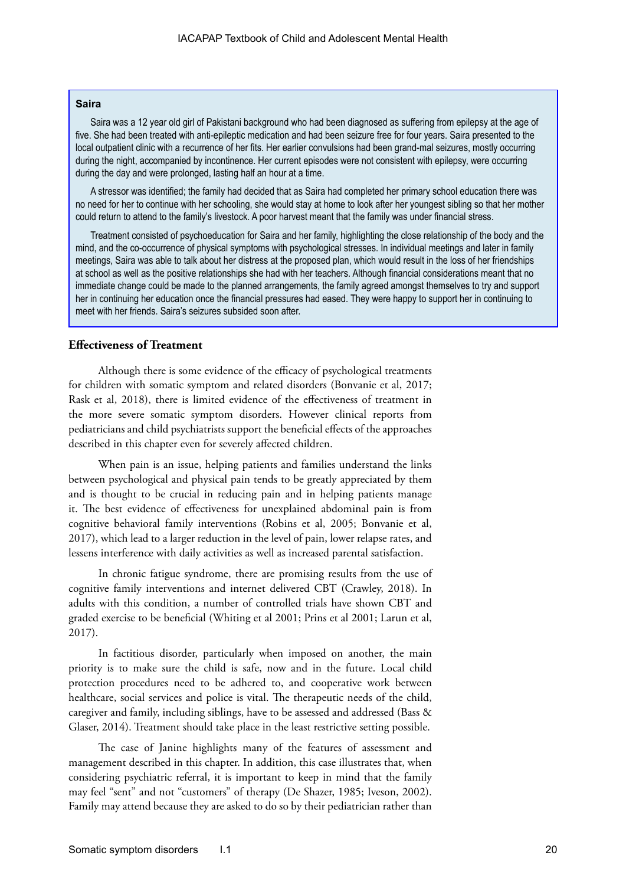#### **Saira**

Saira was a 12 year old girl of Pakistani background who had been diagnosed as suffering from epilepsy at the age of five. She had been treated with anti-epileptic medication and had been seizure free for four years. Saira presented to the local outpatient clinic with a recurrence of her fits. Her earlier convulsions had been grand-mal seizures, mostly occurring during the night, accompanied by incontinence. Her current episodes were not consistent with epilepsy, were occurring during the day and were prolonged, lasting half an hour at a time.

A stressor was identified; the family had decided that as Saira had completed her primary school education there was no need for her to continue with her schooling, she would stay at home to look after her youngest sibling so that her mother could return to attend to the family's livestock. A poor harvest meant that the family was under financial stress.

Treatment consisted of psychoeducation for Saira and her family, highlighting the close relationship of the body and the mind, and the co-occurrence of physical symptoms with psychological stresses. In individual meetings and later in family meetings, Saira was able to talk about her distress at the proposed plan, which would result in the loss of her friendships at school as well as the positive relationships she had with her teachers. Although financial considerations meant that no immediate change could be made to the planned arrangements, the family agreed amongst themselves to try and support her in continuing her education once the financial pressures had eased. They were happy to support her in continuing to meet with her friends. Saira's seizures subsided soon after.

#### **Effectiveness of Treatment**

Although there is some evidence of the efficacy of psychological treatments for children with somatic symptom and related disorders (Bonvanie et al, 2017; Rask et al, 2018), there is limited evidence of the effectiveness of treatment in the more severe somatic symptom disorders. However clinical reports from pediatricians and child psychiatrists support the beneficial effects of the approaches described in this chapter even for severely affected children.

When pain is an issue, helping patients and families understand the links between psychological and physical pain tends to be greatly appreciated by them and is thought to be crucial in reducing pain and in helping patients manage it. The best evidence of effectiveness for unexplained abdominal pain is from cognitive behavioral family interventions (Robins et al, 2005; Bonvanie et al, 2017), which lead to a larger reduction in the level of pain, lower relapse rates, and lessens interference with daily activities as well as increased parental satisfaction.

In chronic fatigue syndrome, there are promising results from the use of cognitive family interventions and internet delivered CBT (Crawley, 2018). In adults with this condition, a number of controlled trials have shown CBT and graded exercise to be beneficial (Whiting et al 2001; Prins et al 2001; Larun et al, 2017).

In factitious disorder, particularly when imposed on another, the main priority is to make sure the child is safe, now and in the future. Local child protection procedures need to be adhered to, and cooperative work between healthcare, social services and police is vital. The therapeutic needs of the child, caregiver and family, including siblings, have to be assessed and addressed (Bass & Glaser, 2014). Treatment should take place in the least restrictive setting possible.

The case of Janine highlights many of the features of assessment and management described in this chapter. In addition, this case illustrates that, when considering psychiatric referral, it is important to keep in mind that the family may feel "sent" and not "customers" of therapy (De Shazer, 1985; Iveson, 2002). Family may attend because they are asked to do so by their pediatrician rather than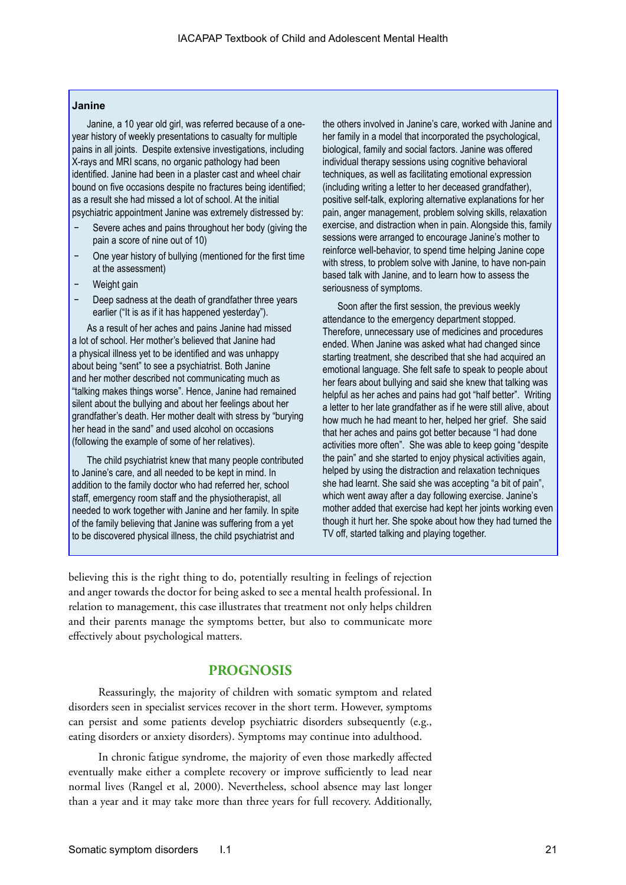#### **Janine**

Janine, a 10 year old girl, was referred because of a oneyear history of weekly presentations to casualty for multiple pains in all joints. Despite extensive investigations, including X-rays and MRI scans, no organic pathology had been identified. Janine had been in a plaster cast and wheel chair bound on five occasions despite no fractures being identified; as a result she had missed a lot of school. At the initial psychiatric appointment Janine was extremely distressed by:

- Severe aches and pains throughout her body (giving the pain a score of nine out of 10)
- − One year history of bullying (mentioned for the first time at the assessment)
- Weight gain
- Deep sadness at the death of grandfather three years earlier ("It is as if it has happened yesterday").

As a result of her aches and pains Janine had missed a lot of school. Her mother's believed that Janine had a physical illness yet to be identified and was unhappy about being "sent" to see a psychiatrist. Both Janine and her mother described not communicating much as "talking makes things worse". Hence, Janine had remained silent about the bullying and about her feelings about her grandfather's death. Her mother dealt with stress by "burying her head in the sand" and used alcohol on occasions (following the example of some of her relatives).

The child psychiatrist knew that many people contributed to Janine's care, and all needed to be kept in mind. In addition to the family doctor who had referred her, school staff, emergency room staff and the physiotherapist, all needed to work together with Janine and her family. In spite of the family believing that Janine was suffering from a yet to be discovered physical illness, the child psychiatrist and

the others involved in Janine's care, worked with Janine and her family in a model that incorporated the psychological, biological, family and social factors. Janine was offered individual therapy sessions using cognitive behavioral techniques, as well as facilitating emotional expression (including writing a letter to her deceased grandfather), positive self-talk, exploring alternative explanations for her pain, anger management, problem solving skills, relaxation exercise, and distraction when in pain. Alongside this, family sessions were arranged to encourage Janine's mother to reinforce well-behavior, to spend time helping Janine cope with stress, to problem solve with Janine, to have non-pain based talk with Janine, and to learn how to assess the seriousness of symptoms.

Soon after the first session, the previous weekly attendance to the emergency department stopped. Therefore, unnecessary use of medicines and procedures ended. When Janine was asked what had changed since starting treatment, she described that she had acquired an emotional language. She felt safe to speak to people about her fears about bullying and said she knew that talking was helpful as her aches and pains had got "half better". Writing a letter to her late grandfather as if he were still alive, about how much he had meant to her, helped her grief. She said that her aches and pains got better because "I had done activities more often". She was able to keep going "despite the pain" and she started to enjoy physical activities again, helped by using the distraction and relaxation techniques she had learnt. She said she was accepting "a bit of pain", which went away after a day following exercise. Janine's mother added that exercise had kept her joints working even though it hurt her. She spoke about how they had turned the TV off, started talking and playing together.

believing this is the right thing to do, potentially resulting in feelings of rejection and anger towards the doctor for being asked to see a mental health professional. In relation to management, this case illustrates that treatment not only helps children and their parents manage the symptoms better, but also to communicate more effectively about psychological matters.

# **PROGNOSIS**

Reassuringly, the majority of children with somatic symptom and related disorders seen in specialist services recover in the short term. However, symptoms can persist and some patients develop psychiatric disorders subsequently (e.g., eating disorders or anxiety disorders). Symptoms may continue into adulthood.

In chronic fatigue syndrome, the majority of even those markedly affected eventually make either a complete recovery or improve sufficiently to lead near normal lives (Rangel et al, 2000). Nevertheless, school absence may last longer than a year and it may take more than three years for full recovery. Additionally,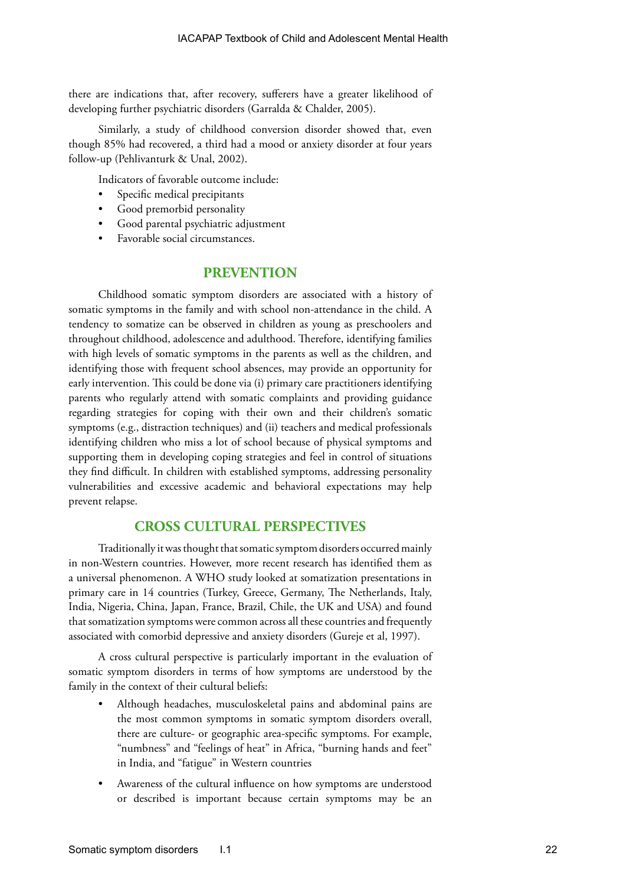there are indications that, after recovery, sufferers have a greater likelihood of developing further psychiatric disorders (Garralda & Chalder, 2005).

Similarly, a study of childhood conversion disorder showed that, even though 85% had recovered, a third had a mood or anxiety disorder at four years follow-up (Pehlivanturk & Unal, 2002).

Indicators of favorable outcome include:

- Specific medical precipitants
- Good premorbid personality
- Good parental psychiatric adjustment
- Favorable social circumstances.

# **PREVENTION**

Childhood somatic symptom disorders are associated with a history of somatic symptoms in the family and with school non-attendance in the child. A tendency to somatize can be observed in children as young as preschoolers and throughout childhood, adolescence and adulthood. Therefore, identifying families with high levels of somatic symptoms in the parents as well as the children, and identifying those with frequent school absences, may provide an opportunity for early intervention. This could be done via (i) primary care practitioners identifying parents who regularly attend with somatic complaints and providing guidance regarding strategies for coping with their own and their children's somatic symptoms (e.g., distraction techniques) and (ii) teachers and medical professionals identifying children who miss a lot of school because of physical symptoms and supporting them in developing coping strategies and feel in control of situations they find difficult. In children with established symptoms, addressing personality vulnerabilities and excessive academic and behavioral expectations may help prevent relapse.

# **CROSS CULTURAL PERSPECTIVES**

Traditionally it was thought that somatic symptom disorders occurred mainly in non-Western countries. However, more recent research has identified them as a universal phenomenon. A WHO study looked at somatization presentations in primary care in 14 countries (Turkey, Greece, Germany, The Netherlands, Italy, India, Nigeria, China, Japan, France, Brazil, Chile, the UK and USA) and found that somatization symptoms were common across all these countries and frequently associated with comorbid depressive and anxiety disorders (Gureje et al, 1997).

A cross cultural perspective is particularly important in the evaluation of somatic symptom disorders in terms of how symptoms are understood by the family in the context of their cultural beliefs:

- Although headaches, musculoskeletal pains and abdominal pains are the most common symptoms in somatic symptom disorders overall, there are culture- or geographic area-specific symptoms. For example, "numbness" and "feelings of heat" in Africa, "burning hands and feet" in India, and "fatigue" in Western countries
- Awareness of the cultural influence on how symptoms are understood or described is important because certain symptoms may be an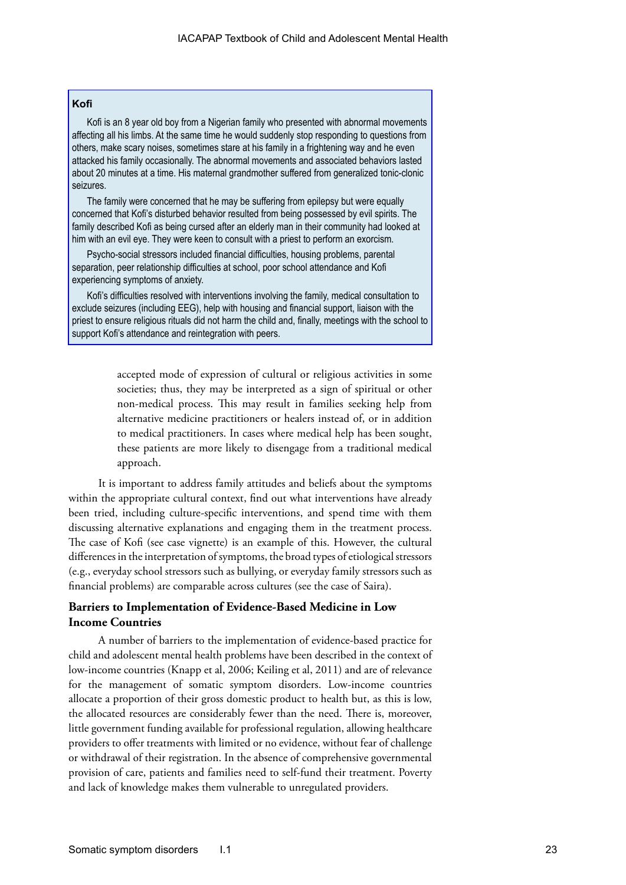# **Kofi**

Kofi is an 8 year old boy from a Nigerian family who presented with abnormal movements affecting all his limbs. At the same time he would suddenly stop responding to questions from others, make scary noises, sometimes stare at his family in a frightening way and he even attacked his family occasionally. The abnormal movements and associated behaviors lasted about 20 minutes at a time. His maternal grandmother suffered from generalized tonic-clonic seizures.

The family were concerned that he may be suffering from epilepsy but were equally concerned that Kofi's disturbed behavior resulted from being possessed by evil spirits. The family described Kofi as being cursed after an elderly man in their community had looked at him with an evil eye. They were keen to consult with a priest to perform an exorcism.

Psycho-social stressors included financial difficulties, housing problems, parental separation, peer relationship difficulties at school, poor school attendance and Kofi experiencing symptoms of anxiety.

Kofi's difficulties resolved with interventions involving the family, medical consultation to exclude seizures (including EEG), help with housing and financial support, liaison with the priest to ensure religious rituals did not harm the child and, finally, meetings with the school to support Kofi's attendance and reintegration with peers.

> accepted mode of expression of cultural or religious activities in some societies; thus, they may be interpreted as a sign of spiritual or other non-medical process. This may result in families seeking help from alternative medicine practitioners or healers instead of, or in addition to medical practitioners. In cases where medical help has been sought, these patients are more likely to disengage from a traditional medical approach.

It is important to address family attitudes and beliefs about the symptoms within the appropriate cultural context, find out what interventions have already been tried, including culture-specific interventions, and spend time with them discussing alternative explanations and engaging them in the treatment process. The case of Kofi (see case vignette) is an example of this. However, the cultural differences in the interpretation of symptoms, the broad types of etiological stressors (e.g., everyday school stressors such as bullying, or everyday family stressors such as financial problems) are comparable across cultures (see the case of Saira).

# **Barriers to Implementation of Evidence-Based Medicine in Low Income Countries**

A number of barriers to the implementation of evidence-based practice for child and adolescent mental health problems have been described in the context of low-income countries (Knapp et al, 2006; Keiling et al, 2011) and are of relevance for the management of somatic symptom disorders. Low-income countries allocate a proportion of their gross domestic product to health but, as this is low, the allocated resources are considerably fewer than the need. There is, moreover, little government funding available for professional regulation, allowing healthcare providers to offer treatments with limited or no evidence, without fear of challenge or withdrawal of their registration. In the absence of comprehensive governmental provision of care, patients and families need to self-fund their treatment. Poverty and lack of knowledge makes them vulnerable to unregulated providers.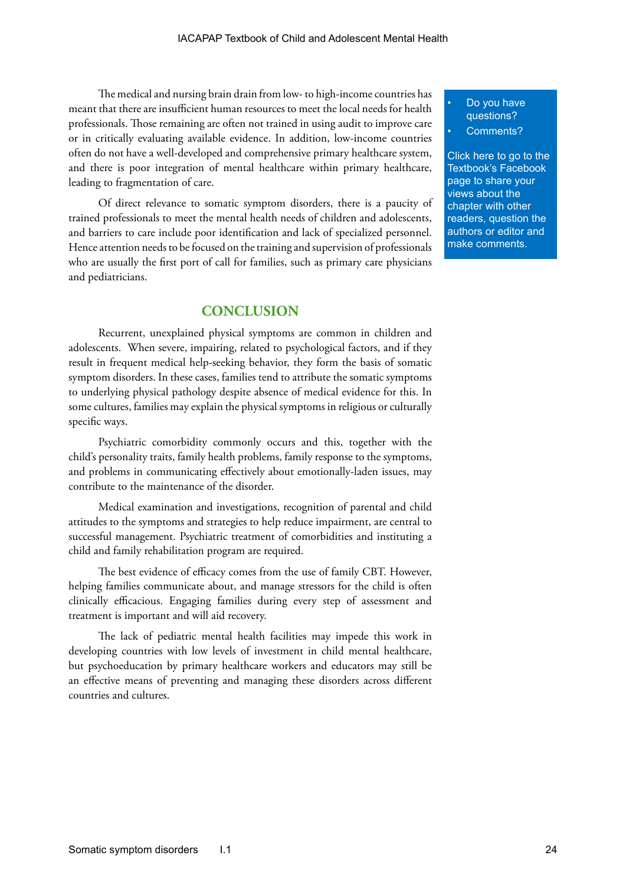The medical and nursing brain drain from low- to high-income countries has meant that there are insufficient human resources to meet the local needs for health professionals. Those remaining are often not trained in using audit to improve care or in critically evaluating available evidence. In addition, low-income countries often do not have a well-developed and comprehensive primary healthcare system, and there is poor integration of mental healthcare within primary healthcare, leading to fragmentation of care.

Of direct relevance to somatic symptom disorders, there is a paucity of trained professionals to meet the mental health needs of children and adolescents, and barriers to care include poor identification and lack of specialized personnel. Hence attention needs to be focused on the training and supervision of professionals who are usually the first port of call for families, such as primary care physicians and pediatricians.

# **CONCLUSION**

Recurrent, unexplained physical symptoms are common in children and adolescents. When severe, impairing, related to psychological factors, and if they result in frequent medical help-seeking behavior, they form the basis of somatic symptom disorders. In these cases, families tend to attribute the somatic symptoms to underlying physical pathology despite absence of medical evidence for this. In some cultures, families may explain the physical symptoms in religious or culturally specific ways.

Psychiatric comorbidity commonly occurs and this, together with the child's personality traits, family health problems, family response to the symptoms, and problems in communicating effectively about emotionally-laden issues, may contribute to the maintenance of the disorder.

Medical examination and investigations, recognition of parental and child attitudes to the symptoms and strategies to help reduce impairment, are central to successful management. Psychiatric treatment of comorbidities and instituting a child and family rehabilitation program are required.

The best evidence of efficacy comes from the use of family CBT. However, helping families communicate about, and manage stressors for the child is often clinically efficacious. Engaging families during every step of assessment and treatment is important and will aid recovery.

The lack of pediatric mental health facilities may impede this work in developing countries with low levels of investment in child mental healthcare, but psychoeducation by primary healthcare workers and educators may still be an effective means of preventing and managing these disorders across different countries and cultures.

## Do you have questions?

Comments?

[Click here to go to the](https://www.facebook.com/pages/IACAPAP-Textbook-of-Child-and-Adolescent-Mental-Health/249690448525378)  Textbook's Facebook page to share your views about the chapter with other readers, question the authors or editor and make comments.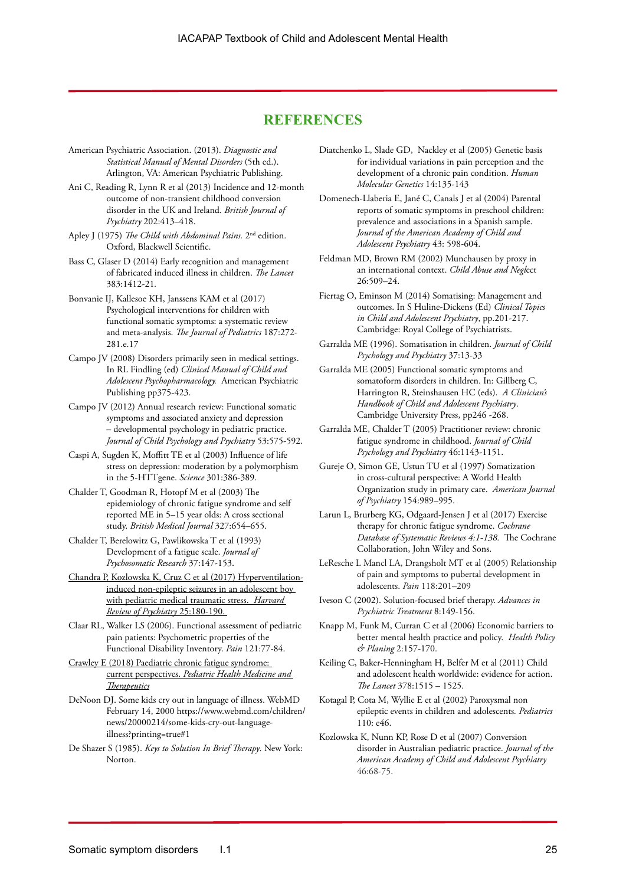# **REFERENCES**

- American Psychiatric Association. (2013). *Diagnostic and Statistical Manual of Mental Disorders* (5th ed.). Arlington, VA: American Psychiatric Publishing.
- Ani C, Reading R, Lynn R et al (2013) Incidence and 12-month outcome of non-transient childhood conversion disorder in the UK and Ireland*. British Journal of Psychiatry* 202:413–418.
- Apley J (1975) *The Child with Abdominal Pains.* 2nd edition. Oxford, Blackwell Scientific.
- Bass C, Glaser D (2014) Early recognition and management of fabricated induced illness in children. *The Lancet* 383:1412-21*.*
- Bonvanie IJ, Kallesoe KH, Janssens KAM et al (2017) Psychological interventions for children with functional somatic symptoms: a systematic review and meta-analysis. *The Journal of Pediatrics* 187:272- 281.e.17
- Campo JV (2008) Disorders primarily seen in medical settings. In RL Findling (ed) *Clinical Manual of Child and Adolescent Psychopharmacology.* American Psychiatric Publishing pp375-423.
- Campo JV (2012) Annual research review: Functional somatic symptoms and associated anxiety and depression – developmental psychology in pediatric practice. *Journal of Child Psychology and Psychiatry* 53:575-592.
- Caspi A, Sugden K, Moffitt TE et al (2003) Influence of life stress on depression: moderation by a polymorphism in the 5-HTTgene. *Science* 301:386-389.
- Chalder T, Goodman R, Hotopf M et al (2003) The epidemiology of chronic fatigue syndrome and self reported ME in 5–15 year olds: A cross sectional study. *British Medical Journal* 327:654–655.
- Chalder T, Berelowitz G, Pawlikowska T et al (1993) Development of a fatigue scale. *Journal of Psychosomatic Research* 37:147-153.
- [Chandra P, Kozlowska K, Cruz C et al \(2017\) Hyperventilation](https://spiral.imperial.ac.uk:8443/bitstream/10044/1/40964/2/Hyperventilation-Induced%20Non-epileptic%20Seizures%20in%20an%20Adolescent%20Boy%20with%20Pediatric%20Medical%20Traumatic%20Stress.pdf)[induced non-epileptic seizures in an adolescent boy](https://spiral.imperial.ac.uk:8443/bitstream/10044/1/40964/2/Hyperventilation-Induced%20Non-epileptic%20Seizures%20in%20an%20Adolescent%20Boy%20with%20Pediatric%20Medical%20Traumatic%20Stress.pdf)  [with pediatric medical traumatic stress.](https://spiral.imperial.ac.uk:8443/bitstream/10044/1/40964/2/Hyperventilation-Induced%20Non-epileptic%20Seizures%20in%20an%20Adolescent%20Boy%20with%20Pediatric%20Medical%20Traumatic%20Stress.pdf) *Harvard [Review of Psychiatry](https://spiral.imperial.ac.uk:8443/bitstream/10044/1/40964/2/Hyperventilation-Induced%20Non-epileptic%20Seizures%20in%20an%20Adolescent%20Boy%20with%20Pediatric%20Medical%20Traumatic%20Stress.pdf)* 25:180-190.
- Claar RL, Walker LS (2006). Functional assessment of pediatric pain patients: Psychometric properties of the Functional Disability Inventory. *Pain* 121:77-84.
- [Crawley E \(2018\) Paediatric chronic fatigue syndrome:](https://doi.org/10.2147/PHMT.S126253)  current perspectives. *[Pediatric Health Medicine and](https://doi.org/10.2147/PHMT.S126253)  [Therapeutics](https://doi.org/10.2147/PHMT.S126253)*
- DeNoon DJ. Some kids cry out in language of illness. WebMD February 14, 2000 https://www.webmd.com/children/ news/20000214/some-kids-cry-out-languageillness?printing=true#1
- De Shazer S (1985). *Keys to Solution In Brief Therapy*. New York: Norton.
- Diatchenko L, Slade GD, Nackley et al (2005) Genetic basis for individual variations in pain perception and the development of a chronic pain condition. *Human Molecular Genetics* 14:135-143
- Domenech-Llaberia E, [Jané C](http://www.ncbi.nlm.nih.gov/pubmed?term=%22Jan%C3%A9%20C%22%5BAuthor%5D), Canals J et al (2004) Parental reports of somatic symptoms in preschool children: prevalence and associations in a Spanish sample. *Journal of the American Academy of Child and Adolescent Psychiatry* 43: 598-604.
- Feldman MD, Brown RM (2002) Munchausen by proxy in an international context. *Child Abuse and Negl*ect 26:509–24.
- Fiertag O, Eminson M (2014) Somatising: Management and outcomes. In S Huline-Dickens (Ed) *Clinical Topics in Child and Adolescent Psychiatry*, pp.201-217. Cambridge: Royal College of Psychiatrists.
- Garralda ME (1996). Somatisation in children. *Journal of Child Psychology and Psychiatry* 37:13-33
- Garralda ME (2005) Functional somatic symptoms and somatoform disorders in children. In: Gillberg C, Harrington R, Steinshausen HC (eds). *A Clinician's Handbook of Child and Adolescent Psychiatry*. Cambridge University Press, pp246 -268.
- Garralda ME, Chalder T (2005) Practitioner review: chronic fatigue syndrome in childhood. *Journal of Child Psychology and Psychiatry* 46:1143-1151.
- Gureje O, Simon GE, Ustun TU et al (1997) Somatization in cross-cultural perspective: A World Health Organization study in primary care. *American Journal of Psychiatry* 154:989–995.
- Larun L, Brurberg KG, Odgaard-Jensen J et al (2017) Exercise therapy for chronic fatigue syndrome. *Cochrane Database of Systematic Reviews 4:1-138.* The Cochrane Collaboration, John Wiley and Sons.
- LeResche L Mancl LA, Drangsholt MT et al (2005) Relationship of pain and symptoms to pubertal development in adolescents. *Pain* 118:201–209
- Iveson C (2002). Solution-focused brief therapy. *Advances in Psychiatric Treatment* 8:149-156.
- Knapp M, Funk M, Curran C et al (2006) Economic barriers to better mental health practice and policy. *Health Policy & Planing* 2:157-170.
- Keiling C, Baker-Henningham H, Belfer M et al (2011) Child and adolescent health worldwide: evidence for action. *The Lancet* 378:1515 – 1525.
- Kotagal P, Cota M, Wyllie E et al (2002) Paroxysmal non epileptic events in children and adolescents*. Pediatrics*  $110 \cdot e46$
- Kozlowska K, Nunn KP, Rose D et al (2007) Conversion disorder in Australian pediatric practice. *Journal of the American Academy of Child and Adolescent Psychiatry*  46:68-75.